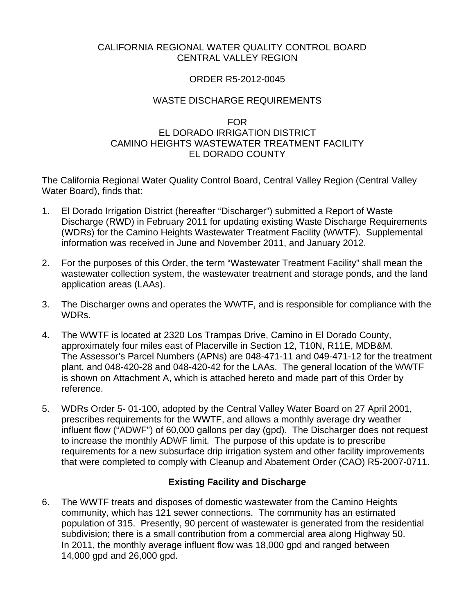#### CALIFORNIA REGIONAL WATER QUALITY CONTROL BOARD CENTRAL VALLEY REGION

#### ORDER R5-2012-0045

### WASTE DISCHARGE REQUIREMENTS

# FOR

#### EL DORADO IRRIGATION DISTRICT CAMINO HEIGHTS WASTEWATER TREATMENT FACILITY EL DORADO COUNTY

The California Regional Water Quality Control Board, Central Valley Region (Central Valley Water Board), finds that:

- 1. El Dorado Irrigation District (hereafter "Discharger") submitted a Report of Waste Discharge (RWD) in February 2011 for updating existing Waste Discharge Requirements (WDRs) for the Camino Heights Wastewater Treatment Facility (WWTF). Supplemental information was received in June and November 2011, and January 2012.
- 2. For the purposes of this Order, the term "Wastewater Treatment Facility" shall mean the wastewater collection system, the wastewater treatment and storage ponds, and the land application areas (LAAs).
- 3. The Discharger owns and operates the WWTF, and is responsible for compliance with the WDRs.
- 4. The WWTF is located at 2320 Los Trampas Drive, Camino in El Dorado County, approximately four miles east of Placerville in Section 12, T10N, R11E, MDB&M. The Assessor's Parcel Numbers (APNs) are 048-471-11 and 049-471-12 for the treatment plant, and 048-420-28 and 048-420-42 for the LAAs. The general location of the WWTF is shown on Attachment A, which is attached hereto and made part of this Order by reference.
- 5. WDRs Order 5- 01-100, adopted by the Central Valley Water Board on 27 April 2001, prescribes requirements for the WWTF, and allows a monthly average dry weather influent flow ("ADWF") of 60,000 gallons per day (gpd). The Discharger does not request to increase the monthly ADWF limit. The purpose of this update is to prescribe requirements for a new subsurface drip irrigation system and other facility improvements that were completed to comply with Cleanup and Abatement Order (CAO) R5-2007-0711.

# **Existing Facility and Discharge**

6. The WWTF treats and disposes of domestic wastewater from the Camino Heights community, which has 121 sewer connections. The community has an estimated population of 315. Presently, 90 percent of wastewater is generated from the residential subdivision; there is a small contribution from a commercial area along Highway 50. In 2011, the monthly average influent flow was 18,000 gpd and ranged between 14,000 gpd and 26,000 gpd.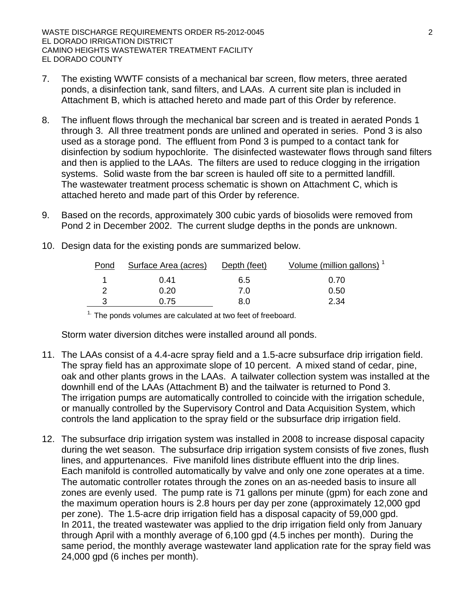- 7. The existing WWTF consists of a mechanical bar screen, flow meters, three aerated ponds, a disinfection tank, sand filters, and LAAs. A current site plan is included in Attachment B, which is attached hereto and made part of this Order by reference.
- 8. The influent flows through the mechanical bar screen and is treated in aerated Ponds 1 through 3. All three treatment ponds are unlined and operated in series. Pond 3 is also used as a storage pond. The effluent from Pond 3 is pumped to a contact tank for disinfection by sodium hypochlorite. The disinfected wastewater flows through sand filters and then is applied to the LAAs. The filters are used to reduce clogging in the irrigation systems. Solid waste from the bar screen is hauled off site to a permitted landfill. The wastewater treatment process schematic is shown on Attachment C, which is attached hereto and made part of this Order by reference.
- 9. Based on the records, approximately 300 cubic yards of biosolids were removed from Pond 2 in December 2002. The current sludge depths in the ponds are unknown.

| Pond | Surface Area (acres) | Depth (feet) | Volume (million gallons) <sup>1</sup> |
|------|----------------------|--------------|---------------------------------------|
|      | 0.41                 | 6.5          | 0.70                                  |
|      | 0.20                 | 7.0          | 0.50                                  |
|      | 0.75                 | 8.0          | 2.34                                  |

10. Design data for the existing ponds are summarized below.

 $1$ . The ponds volumes are calculated at two feet of freeboard.

Storm water diversion ditches were installed around all ponds.

- 11. The LAAs consist of a 4.4-acre spray field and a 1.5-acre subsurface drip irrigation field. The spray field has an approximate slope of 10 percent. A mixed stand of cedar, pine, oak and other plants grows in the LAAs. A tailwater collection system was installed at the downhill end of the LAAs (Attachment B) and the tailwater is returned to Pond 3. The irrigation pumps are automatically controlled to coincide with the irrigation schedule, or manually controlled by the Supervisory Control and Data Acquisition System, which controls the land application to the spray field or the subsurface drip irrigation field.
- 12. The subsurface drip irrigation system was installed in 2008 to increase disposal capacity during the wet season. The subsurface drip irrigation system consists of five zones, flush lines, and appurtenances. Five manifold lines distribute effluent into the drip lines. Each manifold is controlled automatically by valve and only one zone operates at a time. The automatic controller rotates through the zones on an as-needed basis to insure all zones are evenly used. The pump rate is 71 gallons per minute (gpm) for each zone and the maximum operation hours is 2.8 hours per day per zone (approximately 12,000 gpd per zone). The 1.5-acre drip irrigation field has a disposal capacity of 59,000 gpd. In 2011, the treated wastewater was applied to the drip irrigation field only from January through April with a monthly average of 6,100 gpd (4.5 inches per month). During the same period, the monthly average wastewater land application rate for the spray field was 24,000 gpd (6 inches per month).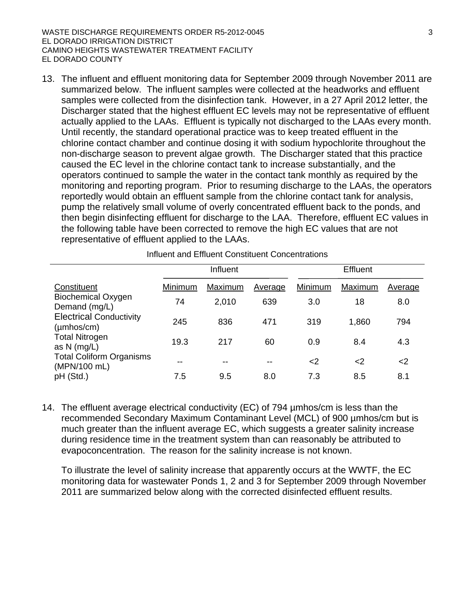WASTE DISCHARGE REQUIREMENTS ORDER R5-2012-0045 33 EL DORADO IRRIGATION DISTRICT CAMINO HEIGHTS WASTEWATER TREATMENT FACILITY EL DORADO COUNTY

13. The influent and effluent monitoring data for September 2009 through November 2011 are summarized below. The influent samples were collected at the headworks and effluent samples were collected from the disinfection tank. However, in a 27 April 2012 letter, the Discharger stated that the highest effluent EC levels may not be representative of effluent actually applied to the LAAs. Effluent is typically not discharged to the LAAs every month. Until recently, the standard operational practice was to keep treated effluent in the chlorine contact chamber and continue dosing it with sodium hypochlorite throughout the non-discharge season to prevent algae growth. The Discharger stated that this practice caused the EC level in the chlorine contact tank to increase substantially, and the operators continued to sample the water in the contact tank monthly as required by the monitoring and reporting program. Prior to resuming discharge to the LAAs, the operators reportedly would obtain an effluent sample from the chlorine contact tank for analysis, pump the relatively small volume of overly concentrated effluent back to the ponds, and then begin disinfecting effluent for discharge to the LAA. Therefore, effluent EC values in the following table have been corrected to remove the high EC values that are not representative of effluent applied to the LAAs.

|                                                           |         | Influent |         |         | <b>Effluent</b> |         |
|-----------------------------------------------------------|---------|----------|---------|---------|-----------------|---------|
| Constituent                                               | Minimum | Maximum  | Average | Minimum | Maximum         | Average |
| <b>Biochemical Oxygen</b><br>Demand (mg/L)                | 74      | 2,010    | 639     | 3.0     | 18              | 8.0     |
| <b>Electrical Conductivity</b><br>$(\mu m \text{hos/cm})$ | 245     | 836      | 471     | 319     | 1,860           | 794     |
| <b>Total Nitrogen</b><br>as $N$ (mg/L)                    | 19.3    | 217      | 60      | 0.9     | 8.4             | 4.3     |
| <b>Total Coliform Organisms</b><br>(MPN/100 mL)           | --      | $- -$    | --      | $<$ 2   | <2              | $<$ 2   |
| pH (Std.)                                                 | 7.5     | 9.5      | 8.0     | 7.3     | 8.5             | 8.1     |

Influent and Effluent Constituent Concentrations

14. The effluent average electrical conductivity (EC) of 794 µmhos/cm is less than the recommended Secondary Maximum Contaminant Level (MCL) of 900 µmhos/cm but is much greater than the influent average EC, which suggests a greater salinity increase during residence time in the treatment system than can reasonably be attributed to evapoconcentration. The reason for the salinity increase is not known.

To illustrate the level of salinity increase that apparently occurs at the WWTF, the EC monitoring data for wastewater Ponds 1, 2 and 3 for September 2009 through November 2011 are summarized below along with the corrected disinfected effluent results.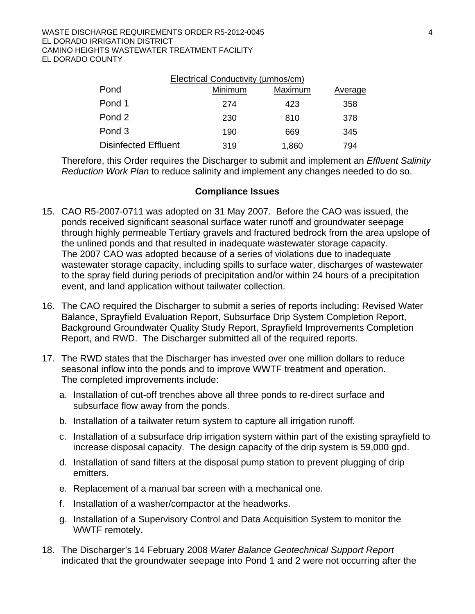| Electrical Conductivity (umhos/cm) |         |         |                |  |  |  |
|------------------------------------|---------|---------|----------------|--|--|--|
| Pond                               | Minimum | Maximum | <b>Average</b> |  |  |  |
| Pond 1                             | 274     | 423     | 358            |  |  |  |
| Pond 2                             | 230     | 810     | 378            |  |  |  |
| Pond 3                             | 190     | 669     | 345            |  |  |  |
| <b>Disinfected Effluent</b>        | 319     | 1,860   | 794            |  |  |  |

Therefore, this Order requires the Discharger to submit and implement an *Effluent Salinity Reduction Work Plan* to reduce salinity and implement any changes needed to do so.

#### **Compliance Issues**

- 15. CAO R5-2007-0711 was adopted on 31 May 2007. Before the CAO was issued, the ponds received significant seasonal surface water runoff and groundwater seepage through highly permeable Tertiary gravels and fractured bedrock from the area upslope of the unlined ponds and that resulted in inadequate wastewater storage capacity. The 2007 CAO was adopted because of a series of violations due to inadequate wastewater storage capacity, including spills to surface water, discharges of wastewater to the spray field during periods of precipitation and/or within 24 hours of a precipitation event, and land application without tailwater collection.
- 16. The CAO required the Discharger to submit a series of reports including: Revised Water Balance, Sprayfield Evaluation Report, Subsurface Drip System Completion Report, Background Groundwater Quality Study Report, Sprayfield Improvements Completion Report, and RWD. The Discharger submitted all of the required reports.
- 17. The RWD states that the Discharger has invested over one million dollars to reduce seasonal inflow into the ponds and to improve WWTF treatment and operation. The completed improvements include:
	- a. Installation of cut-off trenches above all three ponds to re-direct surface and subsurface flow away from the ponds.
	- b. Installation of a tailwater return system to capture all irrigation runoff.
	- c. Installation of a subsurface drip irrigation system within part of the existing sprayfield to increase disposal capacity. The design capacity of the drip system is 59,000 gpd.
	- d. Installation of sand filters at the disposal pump station to prevent plugging of drip emitters.
	- e. Replacement of a manual bar screen with a mechanical one.
	- f. Installation of a washer/compactor at the headworks.
	- g. Installation of a Supervisory Control and Data Acquisition System to monitor the WWTF remotely.
- 18. The Discharger's 14 February 2008 *Water Balance Geotechnical Support Report*  indicated that the groundwater seepage into Pond 1 and 2 were not occurring after the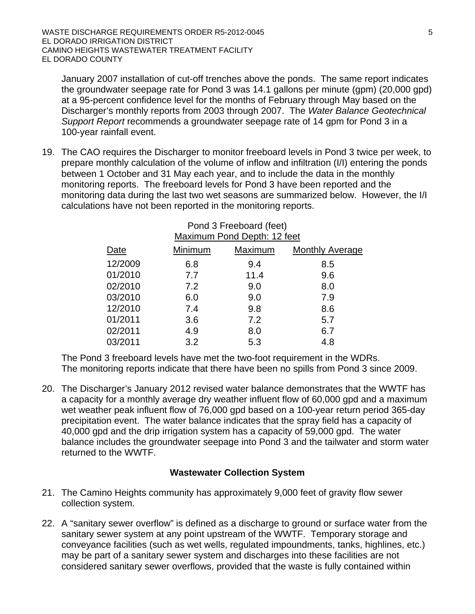January 2007 installation of cut-off trenches above the ponds. The same report indicates the groundwater seepage rate for Pond 3 was 14.1 gallons per minute (gpm) (20,000 gpd) at a 95-percent confidence level for the months of February through May based on the Discharger's monthly reports from 2003 through 2007. The *Water Balance Geotechnical Support Report* recommends a groundwater seepage rate of 14 gpm for Pond 3 in a 100-year rainfall event.

19. The CAO requires the Discharger to monitor freeboard levels in Pond 3 twice per week, to prepare monthly calculation of the volume of inflow and infiltration (I/I) entering the ponds between 1 October and 31 May each year, and to include the data in the monthly monitoring reports. The freeboard levels for Pond 3 have been reported and the monitoring data during the last two wet seasons are summarized below. However, the I/I calculations have not been reported in the monitoring reports.

| Maximum Pond Depth: 12 feet |         |         |                 |  |  |  |
|-----------------------------|---------|---------|-----------------|--|--|--|
| Date                        | Minimum | Maximum | Monthly Average |  |  |  |
| 12/2009                     | 6.8     | 9.4     | 8.5             |  |  |  |
| 01/2010                     | 7.7     | 11.4    | 9.6             |  |  |  |
| 02/2010                     | 7.2     | 9.0     | 8.0             |  |  |  |
| 03/2010                     | 6.0     | 9.0     | 7.9             |  |  |  |
| 12/2010                     | 7.4     | 9.8     | 8.6             |  |  |  |
| 01/2011                     | 3.6     | 7.2     | 5.7             |  |  |  |
| 02/2011                     | 4.9     | 8.0     | 6.7             |  |  |  |
| 03/2011                     | 3.2     | 5.3     | 4.8             |  |  |  |

#### Pond 3 Freeboard (feet) **Maximum Pond Depth: 12 feet**

The Pond 3 freeboard levels have met the two-foot requirement in the WDRs. The monitoring reports indicate that there have been no spills from Pond 3 since 2009.

20. The Discharger's January 2012 revised water balance demonstrates that the WWTF has a capacity for a monthly average dry weather influent flow of 60,000 gpd and a maximum wet weather peak influent flow of 76,000 gpd based on a 100-year return period 365-day precipitation event. The water balance indicates that the spray field has a capacity of 40,000 gpd and the drip irrigation system has a capacity of 59,000 gpd. The water balance includes the groundwater seepage into Pond 3 and the tailwater and storm water returned to the WWTF.

## **Wastewater Collection System**

- 21. The Camino Heights community has approximately 9,000 feet of gravity flow sewer collection system.
- 22. A "sanitary sewer overflow" is defined as a discharge to ground or surface water from the sanitary sewer system at any point upstream of the WWTF. Temporary storage and conveyance facilities (such as wet wells, regulated impoundments, tanks, highlines, etc.) may be part of a sanitary sewer system and discharges into these facilities are not considered sanitary sewer overflows, provided that the waste is fully contained within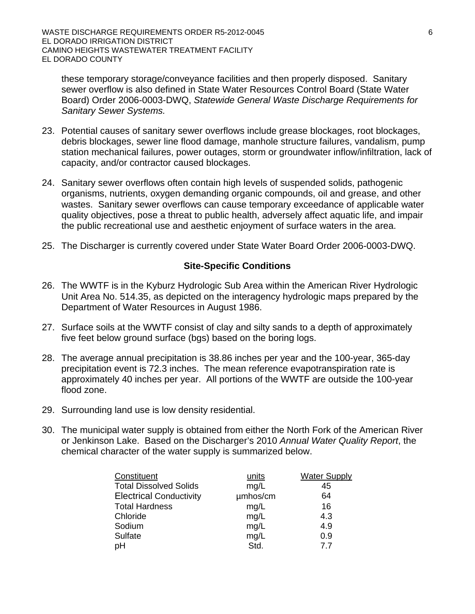these temporary storage/conveyance facilities and then properly disposed. Sanitary sewer overflow is also defined in State Water Resources Control Board (State Water Board) Order 2006-0003-DWQ, *Statewide General Waste Discharge Requirements for Sanitary Sewer Systems.*

- 23. Potential causes of sanitary sewer overflows include grease blockages, root blockages, debris blockages, sewer line flood damage, manhole structure failures, vandalism, pump station mechanical failures, power outages, storm or groundwater inflow/infiltration, lack of capacity, and/or contractor caused blockages.
- 24. Sanitary sewer overflows often contain high levels of suspended solids, pathogenic organisms, nutrients, oxygen demanding organic compounds, oil and grease, and other wastes. Sanitary sewer overflows can cause temporary exceedance of applicable water quality objectives, pose a threat to public health, adversely affect aquatic life, and impair the public recreational use and aesthetic enjoyment of surface waters in the area.
- 25. The Discharger is currently covered under State Water Board Order 2006-0003-DWQ.

#### **Site-Specific Conditions**

- 26. The WWTF is in the Kyburz Hydrologic Sub Area within the American River Hydrologic Unit Area No. 514.35, as depicted on the interagency hydrologic maps prepared by the Department of Water Resources in August 1986.
- 27. Surface soils at the WWTF consist of clay and silty sands to a depth of approximately five feet below ground surface (bgs) based on the boring logs.
- 28. The average annual precipitation is 38.86 inches per year and the 100-year, 365-day precipitation event is 72.3 inches. The mean reference evapotranspiration rate is approximately 40 inches per year. All portions of the WWTF are outside the 100-year flood zone.
- 29. Surrounding land use is low density residential.
- 30. The municipal water supply is obtained from either the North Fork of the American River or Jenkinson Lake. Based on the Discharger's 2010 *Annual Water Quality Report*, the chemical character of the water supply is summarized below.

| Constituent                    | units    | <b>Water Supply</b> |
|--------------------------------|----------|---------------------|
| <b>Total Dissolved Solids</b>  | mg/L     | 45                  |
| <b>Electrical Conductivity</b> | umhos/cm | 64                  |
| <b>Total Hardness</b>          | mg/L     | 16                  |
| Chloride                       | mg/L     | 4.3                 |
| Sodium                         | mg/L     | 4.9                 |
| Sulfate                        | mg/L     | 0.9                 |
| pH                             | Std.     | 77                  |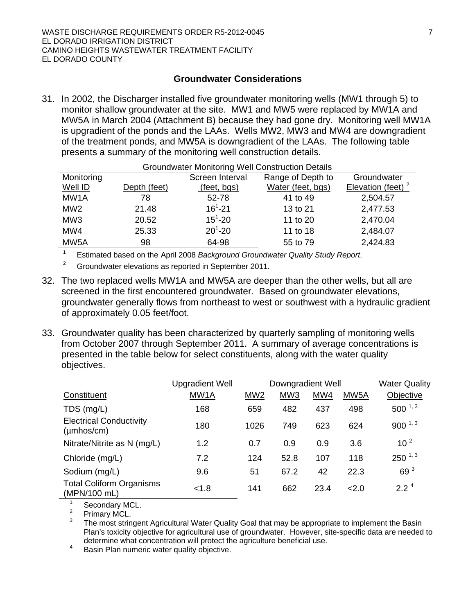#### **Groundwater Considerations**

31. In 2002, the Discharger installed five groundwater monitoring wells (MW1 through 5) to monitor shallow groundwater at the site. MW1 and MW5 were replaced by MW1A and MW5A in March 2004 (Attachment B) because they had gone dry. Monitoring well MW1A is upgradient of the ponds and the LAAs. Wells MW2, MW3 and MW4 are downgradient of the treatment ponds, and MW5A is downgradient of the LAAs. The following table presents a summary of the monitoring well construction details.

| <b>Groundwater Monitoring Well Construction Details</b> |              |                 |                   |                      |  |  |
|---------------------------------------------------------|--------------|-----------------|-------------------|----------------------|--|--|
| Monitoring                                              |              | Screen Interval | Range of Depth to | Groundwater          |  |  |
| Well ID                                                 | Depth (feet) | (feet, bgs)     | Water (feet, bgs) | Elevation (feet) $2$ |  |  |
| MW <sub>1</sub> A                                       | 78           | 52-78           | 41 to 49          | 2,504.57             |  |  |
| MW <sub>2</sub>                                         | 21.48        | $16^{1} - 21$   | 13 to 21          | 2,477.53             |  |  |
| MW <sub>3</sub>                                         | 20.52        | $15^1 - 20$     | 11 to 20          | 2,470.04             |  |  |
| MW4                                                     | 25.33        | $20^1 - 20$     | 11 to 18          | 2,484.07             |  |  |
| MW <sub>5</sub> A                                       | 98           | 64-98           | 55 to 79          | 2,424.83             |  |  |

1 <sup>1</sup> Estimated based on the April 2008 *Background Groundwater Quality Study Report*.<br><sup>2</sup> Groundwater cloyations as reported in September 2011

- Groundwater elevations as reported in September 2011.
- 32. The two replaced wells MW1A and MW5A are deeper than the other wells, but all are screened in the first encountered groundwater. Based on groundwater elevations, groundwater generally flows from northeast to west or southwest with a hydraulic gradient of approximately 0.05 feet/foot.
- 33. Groundwater quality has been characterized by quarterly sampling of monitoring wells from October 2007 through September 2011. A summary of average concentrations is presented in the table below for select constituents, along with the water quality objectives.

|                                                           | <b>Upgradient Well</b> |                 | Downgradient Well |      |                   | <b>Water Quality</b> |
|-----------------------------------------------------------|------------------------|-----------------|-------------------|------|-------------------|----------------------|
| Constituent                                               | MW1A                   | MW <sub>2</sub> | MW <sub>3</sub>   | MW4  | MW <sub>5</sub> A | Objective            |
| $TDS$ (mg/L)                                              | 168                    | 659             | 482               | 437  | 498               | $500^{1,3}$          |
| <b>Electrical Conductivity</b><br>$(\mu m \text{hos/cm})$ | 180                    | 1026            | 749               | 623  | 624               | $900^{1,3}$          |
| Nitrate/Nitrite as N (mg/L)                               | 1.2                    | 0.7             | 0.9               | 0.9  | 3.6               | 10 <sup>2</sup>      |
| Chloride (mg/L)                                           | 7.2                    | 124             | 52.8              | 107  | 118               | $250^{1,3}$          |
| Sodium (mg/L)                                             | 9.6                    | 51              | 67.2              | 42   | 22.3              | 69 <sup>3</sup>      |
| <b>Total Coliform Organisms</b><br>(MPN/100 mL)           | < 1.8                  | 141             | 662               | 23.4 | 2.0               | $2.2^4$              |

1 Secondary MCL.

2 Primary MCL.

3 The most stringent Agricultural Water Quality Goal that may be appropriate to implement the Basin Plan's toxicity objective for agricultural use of groundwater. However, site-specific data are needed to determine what concentration will protect the agriculture beneficial use.<br>Basin Plan numeric water quality objective

Basin Plan numeric water quality objective.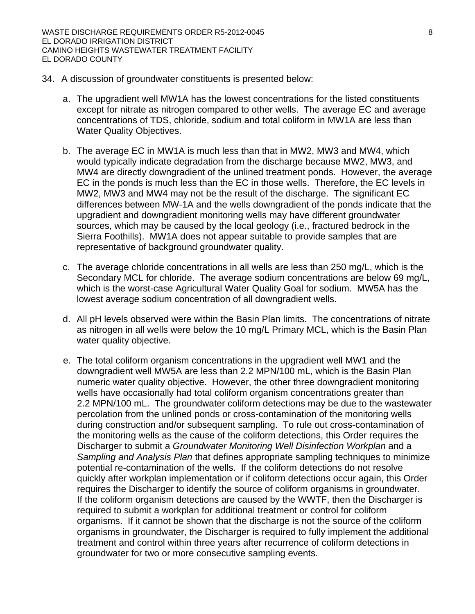- 34. A discussion of groundwater constituents is presented below:
	- a. The upgradient well MW1A has the lowest concentrations for the listed constituents except for nitrate as nitrogen compared to other wells. The average EC and average concentrations of TDS, chloride, sodium and total coliform in MW1A are less than Water Quality Objectives.
	- b. The average EC in MW1A is much less than that in MW2, MW3 and MW4, which would typically indicate degradation from the discharge because MW2, MW3, and MW4 are directly downgradient of the unlined treatment ponds. However, the average EC in the ponds is much less than the EC in those wells. Therefore, the EC levels in MW2, MW3 and MW4 may not be the result of the discharge. The significant EC differences between MW-1A and the wells downgradient of the ponds indicate that the upgradient and downgradient monitoring wells may have different groundwater sources, which may be caused by the local geology (i.e., fractured bedrock in the Sierra Foothills). MW1A does not appear suitable to provide samples that are representative of background groundwater quality.
	- c. The average chloride concentrations in all wells are less than 250 mg/L, which is the Secondary MCL for chloride. The average sodium concentrations are below 69 mg/L, which is the worst-case Agricultural Water Quality Goal for sodium. MW5A has the lowest average sodium concentration of all downgradient wells.
	- d. All pH levels observed were within the Basin Plan limits. The concentrations of nitrate as nitrogen in all wells were below the 10 mg/L Primary MCL, which is the Basin Plan water quality objective.
	- e. The total coliform organism concentrations in the upgradient well MW1 and the downgradient well MW5A are less than 2.2 MPN/100 mL, which is the Basin Plan numeric water quality objective. However, the other three downgradient monitoring wells have occasionally had total coliform organism concentrations greater than 2.2 MPN/100 mL. The groundwater coliform detections may be due to the wastewater percolation from the unlined ponds or cross-contamination of the monitoring wells during construction and/or subsequent sampling. To rule out cross-contamination of the monitoring wells as the cause of the coliform detections, this Order requires the Discharger to submit a *Groundwater Monitoring Well Disinfection Workplan* and a *Sampling and Analysis Plan* that defines appropriate sampling techniques to minimize potential re-contamination of the wells. If the coliform detections do not resolve quickly after workplan implementation or if coliform detections occur again, this Order requires the Discharger to identify the source of coliform organisms in groundwater. If the coliform organism detections are caused by the WWTF, then the Discharger is required to submit a workplan for additional treatment or control for coliform organisms. If it cannot be shown that the discharge is not the source of the coliform organisms in groundwater, the Discharger is required to fully implement the additional treatment and control within three years after recurrence of coliform detections in groundwater for two or more consecutive sampling events.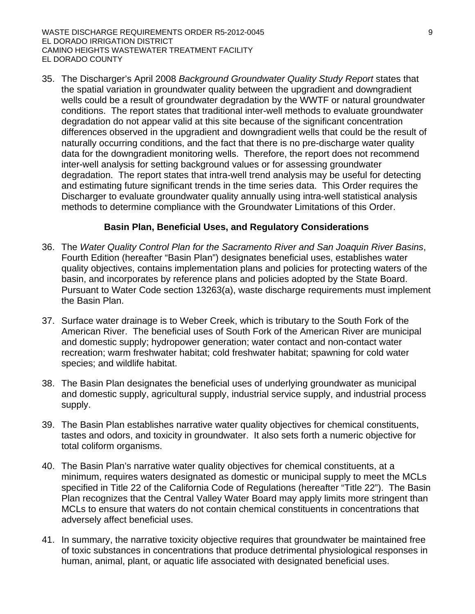35. The Discharger's April 2008 *Background Groundwater Quality Study Report* states that the spatial variation in groundwater quality between the upgradient and downgradient wells could be a result of groundwater degradation by the WWTF or natural groundwater conditions. The report states that traditional inter-well methods to evaluate groundwater degradation do not appear valid at this site because of the significant concentration differences observed in the upgradient and downgradient wells that could be the result of naturally occurring conditions, and the fact that there is no pre-discharge water quality data for the downgradient monitoring wells. Therefore, the report does not recommend inter-well analysis for setting background values or for assessing groundwater degradation. The report states that intra-well trend analysis may be useful for detecting and estimating future significant trends in the time series data. This Order requires the Discharger to evaluate groundwater quality annually using intra-well statistical analysis methods to determine compliance with the Groundwater Limitations of this Order.

#### **Basin Plan, Beneficial Uses, and Regulatory Considerations**

- 36. The *Water Quality Control Plan for the Sacramento River and San Joaquin River Basins*, Fourth Edition (hereafter "Basin Plan") designates beneficial uses, establishes water quality objectives, contains implementation plans and policies for protecting waters of the basin, and incorporates by reference plans and policies adopted by the State Board. Pursuant to Water Code section 13263(a), waste discharge requirements must implement the Basin Plan.
- 37. Surface water drainage is to Weber Creek, which is tributary to the South Fork of the American River. The beneficial uses of South Fork of the American River are municipal and domestic supply; hydropower generation; water contact and non-contact water recreation; warm freshwater habitat; cold freshwater habitat; spawning for cold water species; and wildlife habitat.
- 38. The Basin Plan designates the beneficial uses of underlying groundwater as municipal and domestic supply, agricultural supply, industrial service supply, and industrial process supply.
- 39. The Basin Plan establishes narrative water quality objectives for chemical constituents, tastes and odors, and toxicity in groundwater. It also sets forth a numeric objective for total coliform organisms.
- 40. The Basin Plan's narrative water quality objectives for chemical constituents, at a minimum, requires waters designated as domestic or municipal supply to meet the MCLs specified in Title 22 of the California Code of Regulations (hereafter "Title 22"). The Basin Plan recognizes that the Central Valley Water Board may apply limits more stringent than MCLs to ensure that waters do not contain chemical constituents in concentrations that adversely affect beneficial uses.
- 41. In summary, the narrative toxicity objective requires that groundwater be maintained free of toxic substances in concentrations that produce detrimental physiological responses in human, animal, plant, or aquatic life associated with designated beneficial uses.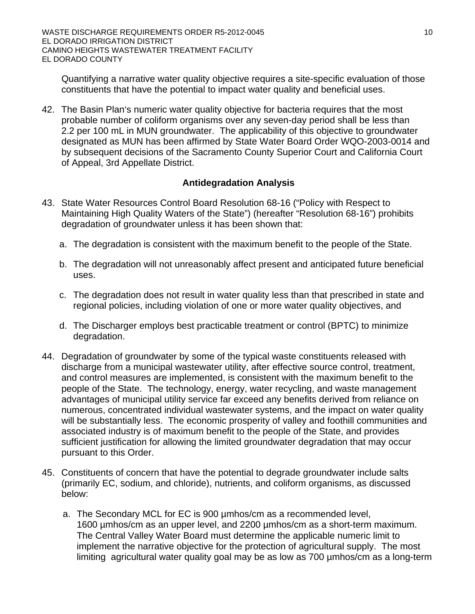Quantifying a narrative water quality objective requires a site-specific evaluation of those constituents that have the potential to impact water quality and beneficial uses.

42. The Basin Plan's numeric water quality objective for bacteria requires that the most probable number of coliform organisms over any seven-day period shall be less than 2.2 per 100 mL in MUN groundwater. The applicability of this objective to groundwater designated as MUN has been affirmed by State Water Board Order WQO-2003-0014 and by subsequent decisions of the Sacramento County Superior Court and California Court of Appeal, 3rd Appellate District.

#### **Antidegradation Analysis**

- 43. State Water Resources Control Board Resolution 68-16 ("Policy with Respect to Maintaining High Quality Waters of the State") (hereafter "Resolution 68-16") prohibits degradation of groundwater unless it has been shown that:
	- a. The degradation is consistent with the maximum benefit to the people of the State.
	- b. The degradation will not unreasonably affect present and anticipated future beneficial uses.
	- c. The degradation does not result in water quality less than that prescribed in state and regional policies, including violation of one or more water quality objectives, and
	- d. The Discharger employs best practicable treatment or control (BPTC) to minimize degradation.
- 44. Degradation of groundwater by some of the typical waste constituents released with discharge from a municipal wastewater utility, after effective source control, treatment, and control measures are implemented, is consistent with the maximum benefit to the people of the State. The technology, energy, water recycling, and waste management advantages of municipal utility service far exceed any benefits derived from reliance on numerous, concentrated individual wastewater systems, and the impact on water quality will be substantially less. The economic prosperity of valley and foothill communities and associated industry is of maximum benefit to the people of the State, and provides sufficient justification for allowing the limited groundwater degradation that may occur pursuant to this Order.
- 45. Constituents of concern that have the potential to degrade groundwater include salts (primarily EC, sodium, and chloride), nutrients, and coliform organisms, as discussed below:
	- a. The Secondary MCL for EC is 900 µmhos/cm as a recommended level, 1600 µmhos/cm as an upper level, and 2200 µmhos/cm as a short-term maximum. The Central Valley Water Board must determine the applicable numeric limit to implement the narrative objective for the protection of agricultural supply. The most limiting agricultural water quality goal may be as low as 700 µmhos/cm as a long-term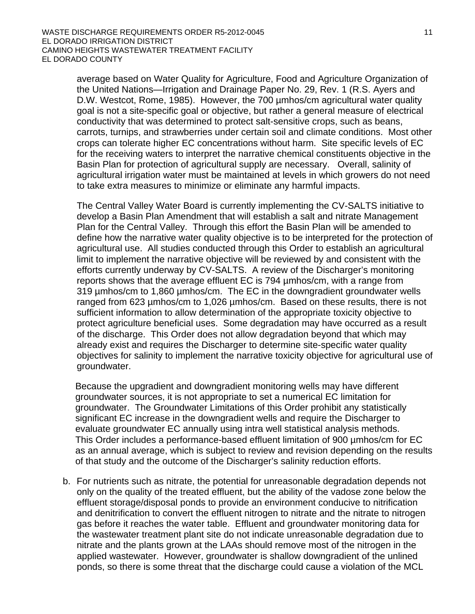average based on Water Quality for Agriculture, Food and Agriculture Organization of the United Nations—Irrigation and Drainage Paper No. 29, Rev. 1 (R.S. Ayers and D.W. Westcot, Rome, 1985). However, the 700 µmhos/cm agricultural water quality goal is not a site-specific goal or objective, but rather a general measure of electrical conductivity that was determined to protect salt-sensitive crops, such as beans, carrots, turnips, and strawberries under certain soil and climate conditions. Most other crops can tolerate higher EC concentrations without harm. Site specific levels of EC for the receiving waters to interpret the narrative chemical constituents objective in the Basin Plan for protection of agricultural supply are necessary. Overall, salinity of agricultural irrigation water must be maintained at levels in which growers do not need to take extra measures to minimize or eliminate any harmful impacts.

The Central Valley Water Board is currently implementing the CV-SALTS initiative to develop a Basin Plan Amendment that will establish a salt and nitrate Management Plan for the Central Valley. Through this effort the Basin Plan will be amended to define how the narrative water quality objective is to be interpreted for the protection of agricultural use. All studies conducted through this Order to establish an agricultural limit to implement the narrative objective will be reviewed by and consistent with the efforts currently underway by CV-SALTS. A review of the Discharger's monitoring reports shows that the average effluent EC is 794 µmhos/cm, with a range from 319 µmhos/cm to 1,860 µmhos/cm. The EC in the downgradient groundwater wells ranged from 623 umhos/cm to 1,026 umhos/cm. Based on these results, there is not sufficient information to allow determination of the appropriate toxicity objective to protect agriculture beneficial uses. Some degradation may have occurred as a result of the discharge. This Order does not allow degradation beyond that which may already exist and requires the Discharger to determine site-specific water quality objectives for salinity to implement the narrative toxicity objective for agricultural use of groundwater.

Because the upgradient and downgradient monitoring wells may have different groundwater sources, it is not appropriate to set a numerical EC limitation for groundwater. The Groundwater Limitations of this Order prohibit any statistically significant EC increase in the downgradient wells and require the Discharger to evaluate groundwater EC annually using intra well statistical analysis methods. This Order includes a performance-based effluent limitation of 900 umhos/cm for EC as an annual average, which is subject to review and revision depending on the results of that study and the outcome of the Discharger's salinity reduction efforts.

b. For nutrients such as nitrate, the potential for unreasonable degradation depends not only on the quality of the treated effluent, but the ability of the vadose zone below the effluent storage/disposal ponds to provide an environment conducive to nitrification and denitrification to convert the effluent nitrogen to nitrate and the nitrate to nitrogen gas before it reaches the water table. Effluent and groundwater monitoring data for the wastewater treatment plant site do not indicate unreasonable degradation due to nitrate and the plants grown at the LAAs should remove most of the nitrogen in the applied wastewater. However, groundwater is shallow downgradient of the unlined ponds, so there is some threat that the discharge could cause a violation of the MCL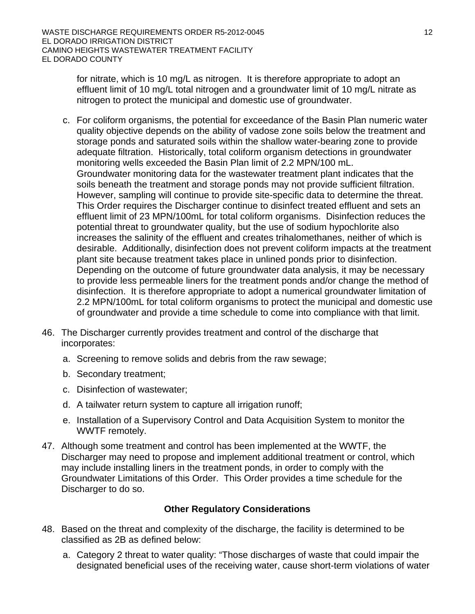for nitrate, which is 10 mg/L as nitrogen. It is therefore appropriate to adopt an effluent limit of 10 mg/L total nitrogen and a groundwater limit of 10 mg/L nitrate as nitrogen to protect the municipal and domestic use of groundwater.

- c. For coliform organisms, the potential for exceedance of the Basin Plan numeric water quality objective depends on the ability of vadose zone soils below the treatment and storage ponds and saturated soils within the shallow water-bearing zone to provide adequate filtration. Historically, total coliform organism detections in groundwater monitoring wells exceeded the Basin Plan limit of 2.2 MPN/100 mL. Groundwater monitoring data for the wastewater treatment plant indicates that the soils beneath the treatment and storage ponds may not provide sufficient filtration. However, sampling will continue to provide site-specific data to determine the threat. This Order requires the Discharger continue to disinfect treated effluent and sets an effluent limit of 23 MPN/100mL for total coliform organisms. Disinfection reduces the potential threat to groundwater quality, but the use of sodium hypochlorite also increases the salinity of the effluent and creates trihalomethanes, neither of which is desirable. Additionally, disinfection does not prevent coliform impacts at the treatment plant site because treatment takes place in unlined ponds prior to disinfection. Depending on the outcome of future groundwater data analysis, it may be necessary to provide less permeable liners for the treatment ponds and/or change the method of disinfection. It is therefore appropriate to adopt a numerical groundwater limitation of 2.2 MPN/100mL for total coliform organisms to protect the municipal and domestic use of groundwater and provide a time schedule to come into compliance with that limit.
- 46. The Discharger currently provides treatment and control of the discharge that incorporates:
	- a. Screening to remove solids and debris from the raw sewage;
	- b. Secondary treatment;
	- c. Disinfection of wastewater;
	- d. A tailwater return system to capture all irrigation runoff;
	- e. Installation of a Supervisory Control and Data Acquisition System to monitor the WWTF remotely.
- 47. Although some treatment and control has been implemented at the WWTF, the Discharger may need to propose and implement additional treatment or control, which may include installing liners in the treatment ponds, in order to comply with the Groundwater Limitations of this Order. This Order provides a time schedule for the Discharger to do so.

#### **Other Regulatory Considerations**

- 48. Based on the threat and complexity of the discharge, the facility is determined to be classified as 2B as defined below:
	- a. Category 2 threat to water quality: "Those discharges of waste that could impair the designated beneficial uses of the receiving water, cause short-term violations of water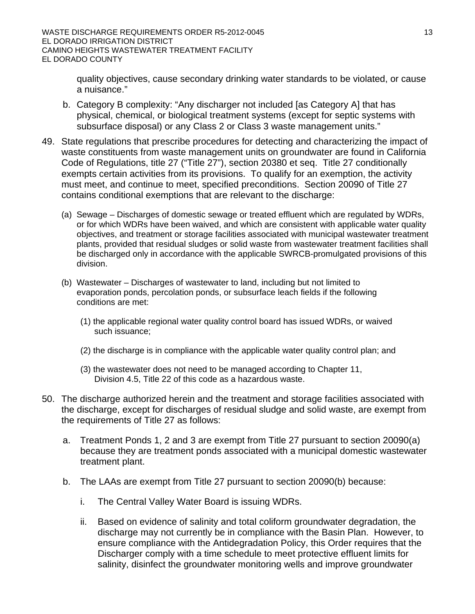quality objectives, cause secondary drinking water standards to be violated, or cause a nuisance."

- b. Category B complexity: "Any discharger not included [as Category A] that has physical, chemical, or biological treatment systems (except for septic systems with subsurface disposal) or any Class 2 or Class 3 waste management units."
- 49. State regulations that prescribe procedures for detecting and characterizing the impact of waste constituents from waste management units on groundwater are found in California Code of Regulations, title 27 ("Title 27"), section 20380 et seq. Title 27 conditionally exempts certain activities from its provisions. To qualify for an exemption, the activity must meet, and continue to meet, specified preconditions. Section 20090 of Title 27 contains conditional exemptions that are relevant to the discharge:
	- (a) Sewage Discharges of domestic sewage or treated effluent which are regulated by WDRs, or for which WDRs have been waived, and which are consistent with applicable water quality objectives, and treatment or storage facilities associated with municipal wastewater treatment plants, provided that residual sludges or solid waste from wastewater treatment facilities shall be discharged only in accordance with the applicable SWRCB-promulgated provisions of this division.
	- (b) Wastewater Discharges of wastewater to land, including but not limited to evaporation ponds, percolation ponds, or subsurface leach fields if the following conditions are met:
		- (1) the applicable regional water quality control board has issued WDRs, or waived such issuance;
		- (2) the discharge is in compliance with the applicable water quality control plan; and
		- (3) the wastewater does not need to be managed according to Chapter 11, Division 4.5, Title 22 of this code as a hazardous waste.
- 50. The discharge authorized herein and the treatment and storage facilities associated with the discharge, except for discharges of residual sludge and solid waste, are exempt from the requirements of Title 27 as follows:
	- a. Treatment Ponds 1, 2 and 3 are exempt from Title 27 pursuant to section 20090(a) because they are treatment ponds associated with a municipal domestic wastewater treatment plant.
	- b. The LAAs are exempt from Title 27 pursuant to section 20090(b) because:
		- i. The Central Valley Water Board is issuing WDRs.
		- ii. Based on evidence of salinity and total coliform groundwater degradation, the discharge may not currently be in compliance with the Basin Plan. However, to ensure compliance with the Antidegradation Policy, this Order requires that the Discharger comply with a time schedule to meet protective effluent limits for salinity, disinfect the groundwater monitoring wells and improve groundwater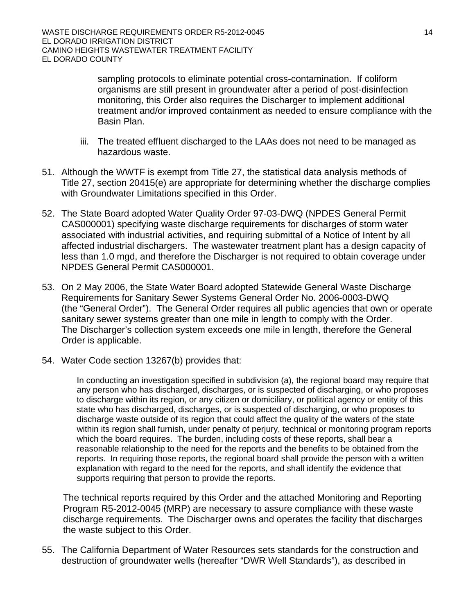sampling protocols to eliminate potential cross-contamination. If coliform organisms are still present in groundwater after a period of post-disinfection monitoring, this Order also requires the Discharger to implement additional treatment and/or improved containment as needed to ensure compliance with the Basin Plan.

- iii. The treated effluent discharged to the LAAs does not need to be managed as hazardous waste.
- 51. Although the WWTF is exempt from Title 27, the statistical data analysis methods of Title 27, section 20415(e) are appropriate for determining whether the discharge complies with Groundwater Limitations specified in this Order.
- 52. The State Board adopted Water Quality Order 97-03-DWQ (NPDES General Permit CAS000001) specifying waste discharge requirements for discharges of storm water associated with industrial activities, and requiring submittal of a Notice of Intent by all affected industrial dischargers. The wastewater treatment plant has a design capacity of less than 1.0 mgd, and therefore the Discharger is not required to obtain coverage under NPDES General Permit CAS000001.
- 53. On 2 May 2006, the State Water Board adopted Statewide General Waste Discharge Requirements for Sanitary Sewer Systems General Order No. 2006-0003-DWQ (the "General Order"). The General Order requires all public agencies that own or operate sanitary sewer systems greater than one mile in length to comply with the Order. The Discharger's collection system exceeds one mile in length, therefore the General Order is applicable.
- 54. Water Code section 13267(b) provides that:

In conducting an investigation specified in subdivision (a), the regional board may require that any person who has discharged, discharges, or is suspected of discharging, or who proposes to discharge within its region, or any citizen or domiciliary, or political agency or entity of this state who has discharged, discharges, or is suspected of discharging, or who proposes to discharge waste outside of its region that could affect the quality of the waters of the state within its region shall furnish, under penalty of perjury, technical or monitoring program reports which the board requires. The burden, including costs of these reports, shall bear a reasonable relationship to the need for the reports and the benefits to be obtained from the reports. In requiring those reports, the regional board shall provide the person with a written explanation with regard to the need for the reports, and shall identify the evidence that supports requiring that person to provide the reports.

The technical reports required by this Order and the attached Monitoring and Reporting Program R5-2012-0045 (MRP) are necessary to assure compliance with these waste discharge requirements. The Discharger owns and operates the facility that discharges the waste subject to this Order.

55. The California Department of Water Resources sets standards for the construction and destruction of groundwater wells (hereafter "DWR Well Standards"), as described in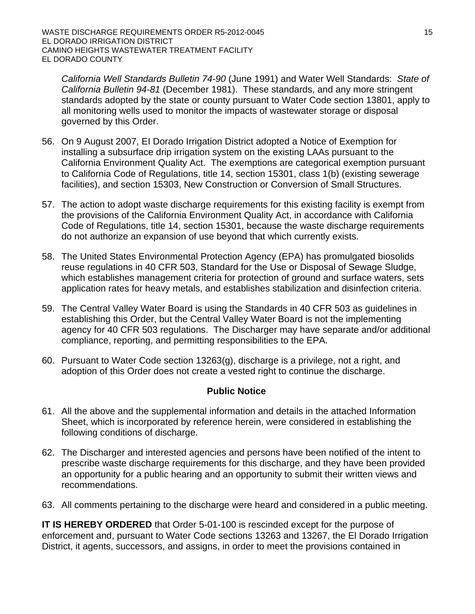*California Well Standards Bulletin 74-90* (June 1991) and Water Well Standards: *State of California Bulletin 94-81* (December 1981). These standards, and any more stringent standards adopted by the state or county pursuant to Water Code section 13801, apply to all monitoring wells used to monitor the impacts of wastewater storage or disposal governed by this Order.

- 56. On 9 August 2007, EI Dorado Irrigation District adopted a Notice of Exemption for installing a subsurface drip irrigation system on the existing LAAs pursuant to the California Environment Quality Act. The exemptions are categorical exemption pursuant to California Code of Regulations, title 14, section 15301, class 1(b) (existing sewerage facilities), and section 15303, New Construction or Conversion of Small Structures.
- 57. The action to adopt waste discharge requirements for this existing facility is exempt from the provisions of the California Environment Quality Act, in accordance with California Code of Regulations, title 14, section 15301, because the waste discharge requirements do not authorize an expansion of use beyond that which currently exists.
- 58. The United States Environmental Protection Agency (EPA) has promulgated biosolids reuse regulations in 40 CFR 503, Standard for the Use or Disposal of Sewage Sludge, which establishes management criteria for protection of ground and surface waters, sets application rates for heavy metals, and establishes stabilization and disinfection criteria.
- 59. The Central Valley Water Board is using the Standards in 40 CFR 503 as guidelines in establishing this Order, but the Central Valley Water Board is not the implementing agency for 40 CFR 503 regulations. The Discharger may have separate and/or additional compliance, reporting, and permitting responsibilities to the EPA.
- 60. Pursuant to Water Code section 13263(g), discharge is a privilege, not a right, and adoption of this Order does not create a vested right to continue the discharge.

#### **Public Notice**

- 61. All the above and the supplemental information and details in the attached Information Sheet, which is incorporated by reference herein, were considered in establishing the following conditions of discharge.
- 62. The Discharger and interested agencies and persons have been notified of the intent to prescribe waste discharge requirements for this discharge, and they have been provided an opportunity for a public hearing and an opportunity to submit their written views and recommendations.
- 63. All comments pertaining to the discharge were heard and considered in a public meeting.

**IT IS HEREBY ORDERED** that Order 5-01-100 is rescinded except for the purpose of enforcement and, pursuant to Water Code sections 13263 and 13267, the El Dorado Irrigation District, it agents, successors, and assigns, in order to meet the provisions contained in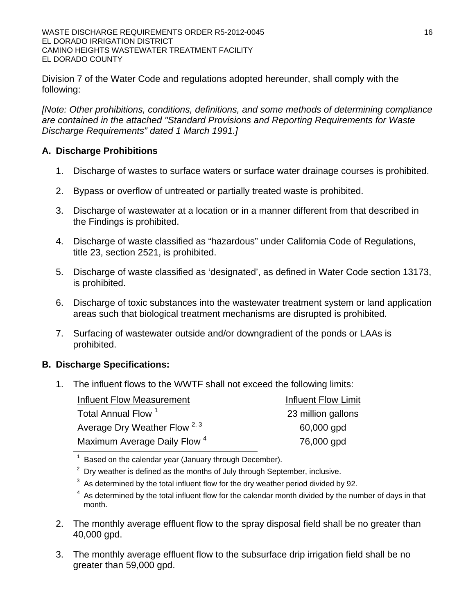Division 7 of the Water Code and regulations adopted hereunder, shall comply with the following:

*[Note: Other prohibitions, conditions, definitions, and some methods of determining compliance are contained in the attached "Standard Provisions and Reporting Requirements for Waste Discharge Requirements" dated 1 March 1991.]*

### **A. Discharge Prohibitions**

- 1. Discharge of wastes to surface waters or surface water drainage courses is prohibited.
- 2. Bypass or overflow of untreated or partially treated waste is prohibited.
- 3. Discharge of wastewater at a location or in a manner different from that described in the Findings is prohibited.
- 4. Discharge of waste classified as "hazardous" under California Code of Regulations, title 23, section 2521, is prohibited.
- 5. Discharge of waste classified as 'designated', as defined in Water Code section 13173, is prohibited.
- 6. Discharge of toxic substances into the wastewater treatment system or land application areas such that biological treatment mechanisms are disrupted is prohibited.
- 7. Surfacing of wastewater outside and/or downgradient of the ponds or LAAs is prohibited.

## **B. Discharge Specifications:**

1. The influent flows to the WWTF shall not exceed the following limits:

| <b>Influent Flow Measurement</b>         | Influent Flow Limit |
|------------------------------------------|---------------------|
| Total Annual Flow <sup>1</sup>           | 23 million gallons  |
| Average Dry Weather Flow <sup>2, 3</sup> | 60,000 gpd          |
| Maximum Average Daily Flow <sup>4</sup>  | 76,000 gpd          |

Based on the calendar year (January through December).

 $2$  Dry weather is defined as the months of July through September, inclusive.

- $3$  As determined by the total influent flow for the dry weather period divided by 92.
- $4$  As determined by the total influent flow for the calendar month divided by the number of days in that month.
- 2. The monthly average effluent flow to the spray disposal field shall be no greater than 40,000 gpd.
- 3. The monthly average effluent flow to the subsurface drip irrigation field shall be no greater than 59,000 gpd.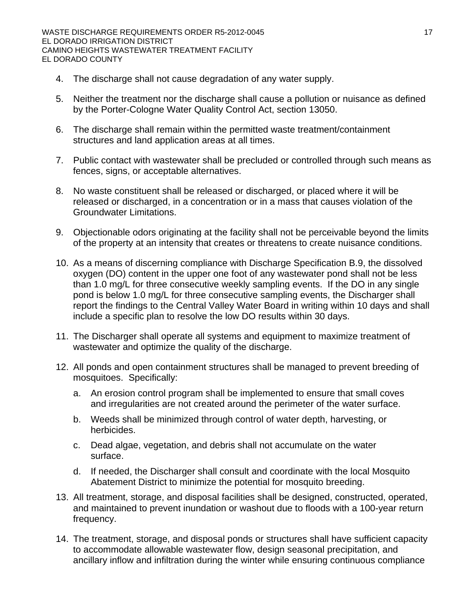- 4. The discharge shall not cause degradation of any water supply.
- 5. Neither the treatment nor the discharge shall cause a pollution or nuisance as defined by the Porter-Cologne Water Quality Control Act, section 13050.
- 6. The discharge shall remain within the permitted waste treatment/containment structures and land application areas at all times.
- 7. Public contact with wastewater shall be precluded or controlled through such means as fences, signs, or acceptable alternatives.
- 8. No waste constituent shall be released or discharged, or placed where it will be released or discharged, in a concentration or in a mass that causes violation of the Groundwater Limitations.
- 9. Objectionable odors originating at the facility shall not be perceivable beyond the limits of the property at an intensity that creates or threatens to create nuisance conditions.
- 10. As a means of discerning compliance with Discharge Specification B.9, the dissolved oxygen (DO) content in the upper one foot of any wastewater pond shall not be less than 1.0 mg/L for three consecutive weekly sampling events. If the DO in any single pond is below 1.0 mg/L for three consecutive sampling events, the Discharger shall report the findings to the Central Valley Water Board in writing within 10 days and shall include a specific plan to resolve the low DO results within 30 days.
- 11. The Discharger shall operate all systems and equipment to maximize treatment of wastewater and optimize the quality of the discharge.
- 12. All ponds and open containment structures shall be managed to prevent breeding of mosquitoes. Specifically:
	- a. An erosion control program shall be implemented to ensure that small coves and irregularities are not created around the perimeter of the water surface.
	- b. Weeds shall be minimized through control of water depth, harvesting, or herbicides.
	- c. Dead algae, vegetation, and debris shall not accumulate on the water surface.
	- d. If needed, the Discharger shall consult and coordinate with the local Mosquito Abatement District to minimize the potential for mosquito breeding.
- 13. All treatment, storage, and disposal facilities shall be designed, constructed, operated, and maintained to prevent inundation or washout due to floods with a 100-year return frequency.
- 14. The treatment, storage, and disposal ponds or structures shall have sufficient capacity to accommodate allowable wastewater flow, design seasonal precipitation, and ancillary inflow and infiltration during the winter while ensuring continuous compliance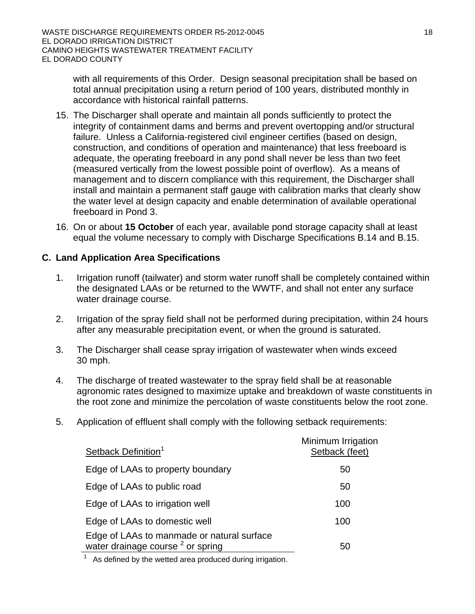with all requirements of this Order. Design seasonal precipitation shall be based on total annual precipitation using a return period of 100 years, distributed monthly in accordance with historical rainfall patterns.

- 15. The Discharger shall operate and maintain all ponds sufficiently to protect the integrity of containment dams and berms and prevent overtopping and/or structural failure. Unless a California-registered civil engineer certifies (based on design, construction, and conditions of operation and maintenance) that less freeboard is adequate, the operating freeboard in any pond shall never be less than two feet (measured vertically from the lowest possible point of overflow). As a means of management and to discern compliance with this requirement, the Discharger shall install and maintain a permanent staff gauge with calibration marks that clearly show the water level at design capacity and enable determination of available operational freeboard in Pond 3.
- 16. On or about **15 October** of each year, available pond storage capacity shall at least equal the volume necessary to comply with Discharge Specifications B.14 and B.15.

### **C. Land Application Area Specifications**

- 1. Irrigation runoff (tailwater) and storm water runoff shall be completely contained within the designated LAAs or be returned to the WWTF, and shall not enter any surface water drainage course.
- 2. Irrigation of the spray field shall not be performed during precipitation, within 24 hours after any measurable precipitation event, or when the ground is saturated.
- 3. The Discharger shall cease spray irrigation of wastewater when winds exceed 30 mph.
- 4. The discharge of treated wastewater to the spray field shall be at reasonable agronomic rates designed to maximize uptake and breakdown of waste constituents in the root zone and minimize the percolation of waste constituents below the root zone.
- 5. Application of effluent shall comply with the following setback requirements:

| Setback Definition <sup>1</sup>                                                            | Minimum Irrigation<br>Setback (feet) |
|--------------------------------------------------------------------------------------------|--------------------------------------|
| Edge of LAAs to property boundary                                                          | 50                                   |
| Edge of LAAs to public road                                                                | 50                                   |
| Edge of LAAs to irrigation well                                                            | 100                                  |
| Edge of LAAs to domestic well                                                              | 100                                  |
| Edge of LAAs to manmade or natural surface<br>water drainage course <sup>2</sup> or spring | 50                                   |

As defined by the wetted area produced during irrigation.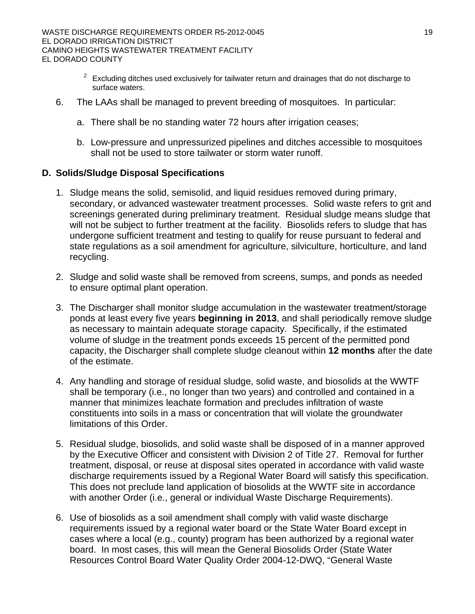- $2^{2}$  Excluding ditches used exclusively for tailwater return and drainages that do not discharge to surface waters.
- 6. The LAAs shall be managed to prevent breeding of mosquitoes. In particular:
	- a. There shall be no standing water 72 hours after irrigation ceases;
	- b. Low-pressure and unpressurized pipelines and ditches accessible to mosquitoes shall not be used to store tailwater or storm water runoff.

#### **D. Solids/Sludge Disposal Specifications**

- 1. Sludge means the solid, semisolid, and liquid residues removed during primary, secondary, or advanced wastewater treatment processes. Solid waste refers to grit and screenings generated during preliminary treatment. Residual sludge means sludge that will not be subject to further treatment at the facility. Biosolids refers to sludge that has undergone sufficient treatment and testing to qualify for reuse pursuant to federal and state regulations as a soil amendment for agriculture, silviculture, horticulture, and land recycling.
- 2. Sludge and solid waste shall be removed from screens, sumps, and ponds as needed to ensure optimal plant operation.
- 3. The Discharger shall monitor sludge accumulation in the wastewater treatment/storage ponds at least every five years **beginning in 2013**, and shall periodically remove sludge as necessary to maintain adequate storage capacity. Specifically, if the estimated volume of sludge in the treatment ponds exceeds 15 percent of the permitted pond capacity, the Discharger shall complete sludge cleanout within **12 months** after the date of the estimate.
- 4. Any handling and storage of residual sludge, solid waste, and biosolids at the WWTF shall be temporary (i.e., no longer than two years) and controlled and contained in a manner that minimizes leachate formation and precludes infiltration of waste constituents into soils in a mass or concentration that will violate the groundwater limitations of this Order.
- 5. Residual sludge, biosolids, and solid waste shall be disposed of in a manner approved by the Executive Officer and consistent with Division 2 of Title 27. Removal for further treatment, disposal, or reuse at disposal sites operated in accordance with valid waste discharge requirements issued by a Regional Water Board will satisfy this specification. This does not preclude land application of biosolids at the WWTF site in accordance with another Order (i.e., general or individual Waste Discharge Requirements).
- 6. Use of biosolids as a soil amendment shall comply with valid waste discharge requirements issued by a regional water board or the State Water Board except in cases where a local (e.g., county) program has been authorized by a regional water board. In most cases, this will mean the General Biosolids Order (State Water Resources Control Board Water Quality Order 2004-12-DWQ, "General Waste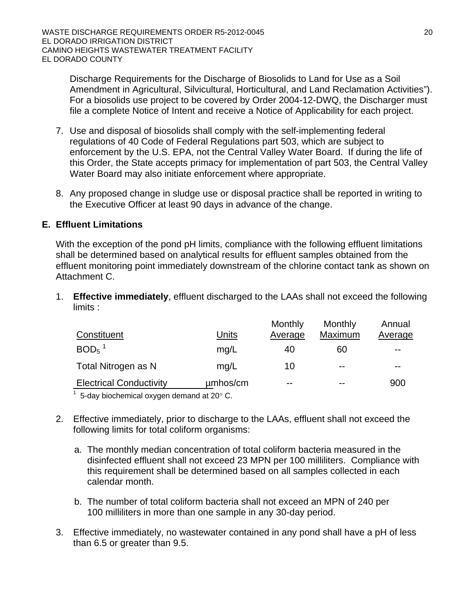Discharge Requirements for the Discharge of Biosolids to Land for Use as a Soil Amendment in Agricultural, Silvicultural, Horticultural, and Land Reclamation Activities"). For a biosolids use project to be covered by Order 2004-12-DWQ, the Discharger must file a complete Notice of Intent and receive a Notice of Applicability for each project.

- 7. Use and disposal of biosolids shall comply with the self-implementing federal regulations of 40 Code of Federal Regulations part 503, which are subject to enforcement by the U.S. EPA, not the Central Valley Water Board. If during the life of this Order, the State accepts primacy for implementation of part 503, the Central Valley Water Board may also initiate enforcement where appropriate.
- 8. Any proposed change in sludge use or disposal practice shall be reported in writing to the Executive Officer at least 90 days in advance of the change.

#### **E. Effluent Limitations**

With the exception of the pond pH limits, compliance with the following effluent limitations shall be determined based on analytical results for effluent samples obtained from the effluent monitoring point immediately downstream of the chlorine contact tank as shown on Attachment C.

1. **Effective immediately**, effluent discharged to the LAAs shall not exceed the following limits :

|                                                                 |          | Monthly | Monthly | Annual  |
|-----------------------------------------------------------------|----------|---------|---------|---------|
| Constituent                                                     | Units    | Average | Maximum | Average |
| $BOD5$ <sup>1</sup>                                             | mq/L     | 40      | 60      | $- -$   |
| Total Nitrogen as N                                             | mq/L     | 10      | $- -$   | $- -$   |
| <b>Electrical Conductivity</b>                                  | µmbos/cm | $- -$   | $- -$   | 900     |
| $\overline{1}$ E doubing and one domain defined at 200 $\Omega$ |          |         |         |         |

5-day biochemical oxygen demand at  $20^{\circ}$  C.

- 2. Effective immediately, prior to discharge to the LAAs, effluent shall not exceed the following limits for total coliform organisms:
	- a. The monthly median concentration of total coliform bacteria measured in the disinfected effluent shall not exceed 23 MPN per 100 milliliters. Compliance with this requirement shall be determined based on all samples collected in each calendar month.
	- b. The number of total coliform bacteria shall not exceed an MPN of 240 per 100 milliliters in more than one sample in any 30-day period.
- 3. Effective immediately, no wastewater contained in any pond shall have a pH of less than 6.5 or greater than 9.5.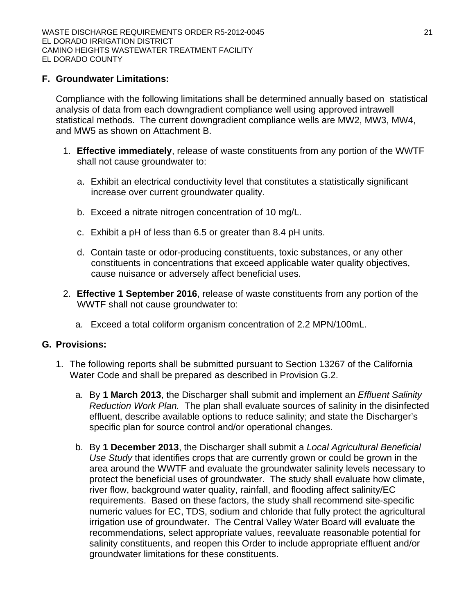#### **F. Groundwater Limitations:**

Compliance with the following limitations shall be determined annually based on statistical analysis of data from each downgradient compliance well using approved intrawell statistical methods. The current downgradient compliance wells are MW2, MW3, MW4, and MW5 as shown on Attachment B.

- 1. **Effective immediately**, release of waste constituents from any portion of the WWTF shall not cause groundwater to:
	- a. Exhibit an electrical conductivity level that constitutes a statistically significant increase over current groundwater quality.
	- b. Exceed a nitrate nitrogen concentration of 10 mg/L.
	- c. Exhibit a pH of less than 6.5 or greater than 8.4 pH units.
	- d. Contain taste or odor-producing constituents, toxic substances, or any other constituents in concentrations that exceed applicable water quality objectives, cause nuisance or adversely affect beneficial uses.
- 2. **Effective 1 September 2016**, release of waste constituents from any portion of the WWTF shall not cause groundwater to:
	- a. Exceed a total coliform organism concentration of 2.2 MPN/100mL.

#### **G. Provisions:**

- 1. The following reports shall be submitted pursuant to Section 13267 of the California Water Code and shall be prepared as described in Provision G.2.
	- a. By **1 March 2013**, the Discharger shall submit and implement an *Effluent Salinity Reduction Work Plan.* The plan shall evaluate sources of salinity in the disinfected effluent, describe available options to reduce salinity; and state the Discharger's specific plan for source control and/or operational changes.
	- b. By **1 December 2013**, the Discharger shall submit a *Local Agricultural Beneficial Use Study* that identifies crops that are currently grown or could be grown in the area around the WWTF and evaluate the groundwater salinity levels necessary to protect the beneficial uses of groundwater. The study shall evaluate how climate, river flow, background water quality, rainfall, and flooding affect salinity/EC requirements. Based on these factors, the study shall recommend site-specific numeric values for EC, TDS, sodium and chloride that fully protect the agricultural irrigation use of groundwater. The Central Valley Water Board will evaluate the recommendations, select appropriate values, reevaluate reasonable potential for salinity constituents, and reopen this Order to include appropriate effluent and/or groundwater limitations for these constituents.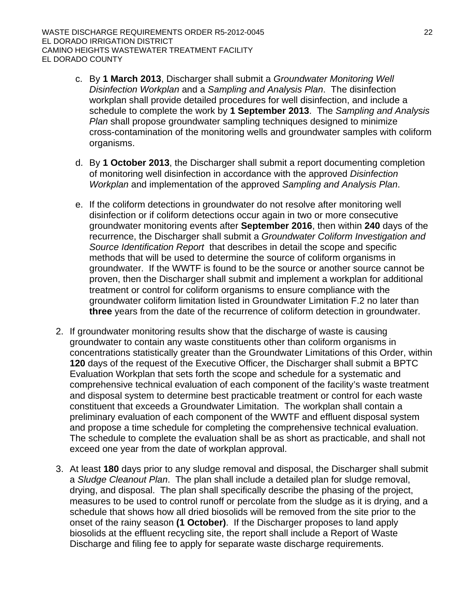- c. By **1 March 2013**, Discharger shall submit a *Groundwater Monitoring Well Disinfection Workplan* and a *Sampling and Analysis Plan*. The disinfection workplan shall provide detailed procedures for well disinfection, and include a schedule to complete the work by **1 September 2013**. The *Sampling and Analysis Plan* shall propose groundwater sampling techniques designed to minimize cross-contamination of the monitoring wells and groundwater samples with coliform organisms.
- d. By **1 October 2013**, the Discharger shall submit a report documenting completion of monitoring well disinfection in accordance with the approved *Disinfection Workplan* and implementation of the approved *Sampling and Analysis Plan*.
- e. If the coliform detections in groundwater do not resolve after monitoring well disinfection or if coliform detections occur again in two or more consecutive groundwater monitoring events after **September 2016**, then within **240** days of the recurrence, the Discharger shall submit a *Groundwater Coliform Investigation and Source Identification Report* that describes in detail the scope and specific methods that will be used to determine the source of coliform organisms in groundwater. If the WWTF is found to be the source or another source cannot be proven, then the Discharger shall submit and implement a workplan for additional treatment or control for coliform organisms to ensure compliance with the groundwater coliform limitation listed in Groundwater Limitation F.2 no later than **three** years from the date of the recurrence of coliform detection in groundwater.
- 2. If groundwater monitoring results show that the discharge of waste is causing groundwater to contain any waste constituents other than coliform organisms in concentrations statistically greater than the Groundwater Limitations of this Order, within **120** days of the request of the Executive Officer, the Discharger shall submit a BPTC Evaluation Workplan that sets forth the scope and schedule for a systematic and comprehensive technical evaluation of each component of the facility's waste treatment and disposal system to determine best practicable treatment or control for each waste constituent that exceeds a Groundwater Limitation. The workplan shall contain a preliminary evaluation of each component of the WWTF and effluent disposal system and propose a time schedule for completing the comprehensive technical evaluation. The schedule to complete the evaluation shall be as short as practicable, and shall not exceed one year from the date of workplan approval.
- 3. At least **180** days prior to any sludge removal and disposal, the Discharger shall submit a *Sludge Cleanout Plan*. The plan shall include a detailed plan for sludge removal, drying, and disposal. The plan shall specifically describe the phasing of the project, measures to be used to control runoff or percolate from the sludge as it is drying, and a schedule that shows how all dried biosolids will be removed from the site prior to the onset of the rainy season **(1 October)**. If the Discharger proposes to land apply biosolids at the effluent recycling site, the report shall include a Report of Waste Discharge and filing fee to apply for separate waste discharge requirements.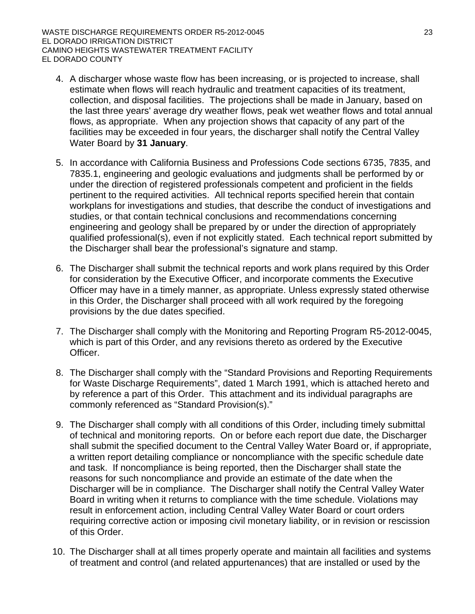- 4. A discharger whose waste flow has been increasing, or is projected to increase, shall estimate when flows will reach hydraulic and treatment capacities of its treatment, collection, and disposal facilities. The projections shall be made in January, based on the last three years' average dry weather flows, peak wet weather flows and total annual flows, as appropriate. When any projection shows that capacity of any part of the facilities may be exceeded in four years, the discharger shall notify the Central Valley Water Board by **31 January**.
- 5. In accordance with California Business and Professions Code sections 6735, 7835, and 7835.1, engineering and geologic evaluations and judgments shall be performed by or under the direction of registered professionals competent and proficient in the fields pertinent to the required activities. All technical reports specified herein that contain workplans for investigations and studies, that describe the conduct of investigations and studies, or that contain technical conclusions and recommendations concerning engineering and geology shall be prepared by or under the direction of appropriately qualified professional(s), even if not explicitly stated. Each technical report submitted by the Discharger shall bear the professional's signature and stamp.
- 6. The Discharger shall submit the technical reports and work plans required by this Order for consideration by the Executive Officer, and incorporate comments the Executive Officer may have in a timely manner, as appropriate. Unless expressly stated otherwise in this Order, the Discharger shall proceed with all work required by the foregoing provisions by the due dates specified.
- 7. The Discharger shall comply with the Monitoring and Reporting Program R5-2012-0045, which is part of this Order, and any revisions thereto as ordered by the Executive Officer.
- 8. The Discharger shall comply with the "Standard Provisions and Reporting Requirements for Waste Discharge Requirements", dated 1 March 1991, which is attached hereto and by reference a part of this Order. This attachment and its individual paragraphs are commonly referenced as "Standard Provision(s)."
- 9. The Discharger shall comply with all conditions of this Order, including timely submittal of technical and monitoring reports. On or before each report due date, the Discharger shall submit the specified document to the Central Valley Water Board or, if appropriate, a written report detailing compliance or noncompliance with the specific schedule date and task. If noncompliance is being reported, then the Discharger shall state the reasons for such noncompliance and provide an estimate of the date when the Discharger will be in compliance. The Discharger shall notify the Central Valley Water Board in writing when it returns to compliance with the time schedule. Violations may result in enforcement action, including Central Valley Water Board or court orders requiring corrective action or imposing civil monetary liability, or in revision or rescission of this Order.
- 10. The Discharger shall at all times properly operate and maintain all facilities and systems of treatment and control (and related appurtenances) that are installed or used by the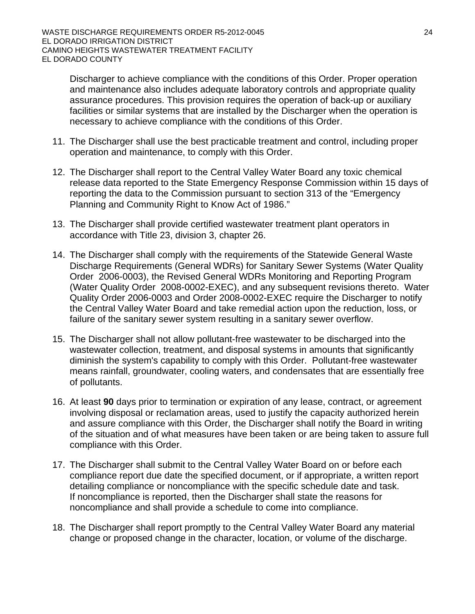Discharger to achieve compliance with the conditions of this Order. Proper operation and maintenance also includes adequate laboratory controls and appropriate quality assurance procedures. This provision requires the operation of back-up or auxiliary facilities or similar systems that are installed by the Discharger when the operation is necessary to achieve compliance with the conditions of this Order.

- 11. The Discharger shall use the best practicable treatment and control, including proper operation and maintenance, to comply with this Order.
- 12. The Discharger shall report to the Central Valley Water Board any toxic chemical release data reported to the State Emergency Response Commission within 15 days of reporting the data to the Commission pursuant to section 313 of the "Emergency Planning and Community Right to Know Act of 1986."
- 13. The Discharger shall provide certified wastewater treatment plant operators in accordance with Title 23, division 3, chapter 26.
- 14. The Discharger shall comply with the requirements of the Statewide General Waste Discharge Requirements (General WDRs) for Sanitary Sewer Systems (Water Quality Order 2006-0003), the Revised General WDRs Monitoring and Reporting Program (Water Quality Order 2008-0002-EXEC), and any subsequent revisions thereto. Water Quality Order 2006-0003 and Order 2008-0002-EXEC require the Discharger to notify the Central Valley Water Board and take remedial action upon the reduction, loss, or failure of the sanitary sewer system resulting in a sanitary sewer overflow.
- 15. The Discharger shall not allow pollutant-free wastewater to be discharged into the wastewater collection, treatment, and disposal systems in amounts that significantly diminish the system's capability to comply with this Order. Pollutant-free wastewater means rainfall, groundwater, cooling waters, and condensates that are essentially free of pollutants.
- 16. At least **90** days prior to termination or expiration of any lease, contract, or agreement involving disposal or reclamation areas, used to justify the capacity authorized herein and assure compliance with this Order, the Discharger shall notify the Board in writing of the situation and of what measures have been taken or are being taken to assure full compliance with this Order.
- 17. The Discharger shall submit to the Central Valley Water Board on or before each compliance report due date the specified document, or if appropriate, a written report detailing compliance or noncompliance with the specific schedule date and task. If noncompliance is reported, then the Discharger shall state the reasons for noncompliance and shall provide a schedule to come into compliance.
- 18. The Discharger shall report promptly to the Central Valley Water Board any material change or proposed change in the character, location, or volume of the discharge.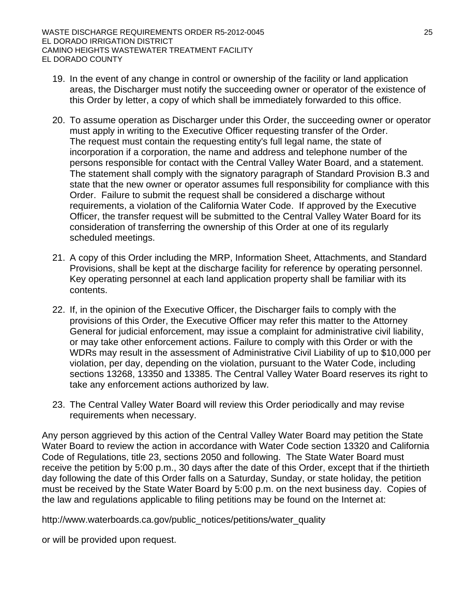- 19. In the event of any change in control or ownership of the facility or land application areas, the Discharger must notify the succeeding owner or operator of the existence of this Order by letter, a copy of which shall be immediately forwarded to this office.
- 20. To assume operation as Discharger under this Order, the succeeding owner or operator must apply in writing to the Executive Officer requesting transfer of the Order. The request must contain the requesting entity's full legal name, the state of incorporation if a corporation, the name and address and telephone number of the persons responsible for contact with the Central Valley Water Board, and a statement. The statement shall comply with the signatory paragraph of Standard Provision B.3 and state that the new owner or operator assumes full responsibility for compliance with this Order. Failure to submit the request shall be considered a discharge without requirements, a violation of the California Water Code. If approved by the Executive Officer, the transfer request will be submitted to the Central Valley Water Board for its consideration of transferring the ownership of this Order at one of its regularly scheduled meetings.
- 21. A copy of this Order including the MRP, Information Sheet, Attachments, and Standard Provisions, shall be kept at the discharge facility for reference by operating personnel. Key operating personnel at each land application property shall be familiar with its contents.
- 22. If, in the opinion of the Executive Officer, the Discharger fails to comply with the provisions of this Order, the Executive Officer may refer this matter to the Attorney General for judicial enforcement, may issue a complaint for administrative civil liability, or may take other enforcement actions. Failure to comply with this Order or with the WDRs may result in the assessment of Administrative Civil Liability of up to \$10,000 per violation, per day, depending on the violation, pursuant to the Water Code, including sections 13268, 13350 and 13385. The Central Valley Water Board reserves its right to take any enforcement actions authorized by law.
- 23. The Central Valley Water Board will review this Order periodically and may revise requirements when necessary.

Any person aggrieved by this action of the Central Valley Water Board may petition the State Water Board to review the action in accordance with Water Code section 13320 and California Code of Regulations, title 23, sections 2050 and following. The State Water Board must receive the petition by 5:00 p.m., 30 days after the date of this Order, except that if the thirtieth day following the date of this Order falls on a Saturday, Sunday, or state holiday, the petition must be received by the State Water Board by 5:00 p.m. on the next business day. Copies of the law and regulations applicable to filing petitions may be found on the Internet at:

http://www.waterboards.ca.gov/public\_notices/petitions/water\_quality

or will be provided upon request.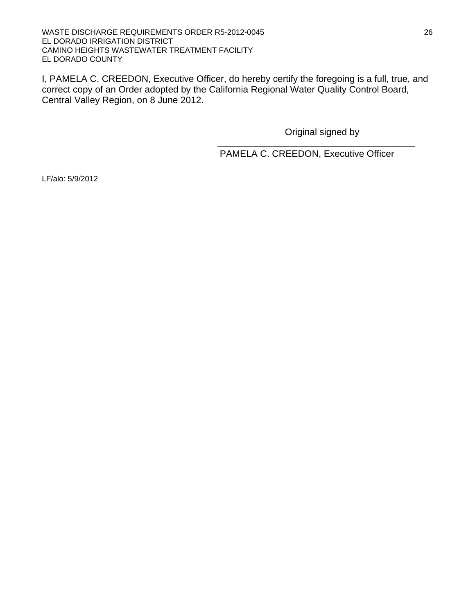I, PAMELA C. CREEDON, Executive Officer, do hereby certify the foregoing is a full, true, and correct copy of an Order adopted by the California Regional Water Quality Control Board, Central Valley Region, on 8 June 2012.

Original signed by

PAMELA C. CREEDON, Executive Officer

LF/alo: 5/9/2012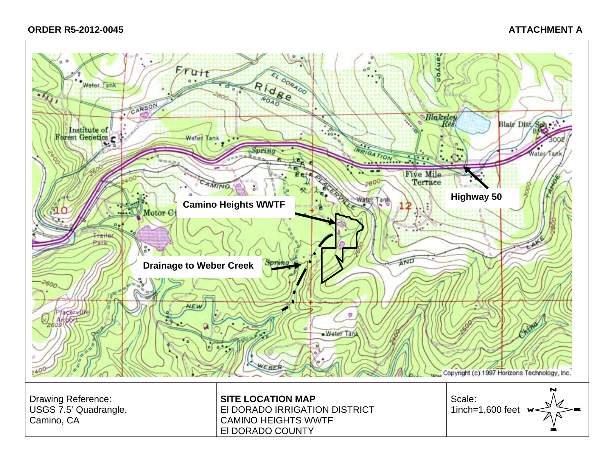#### **ORDER R5-2012-0045 ATTACHMENT A**

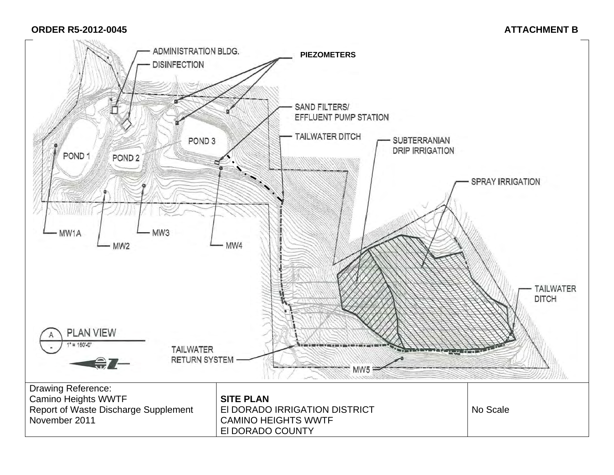#### **ORDER R5-2012-0045** ATTACHMENT B

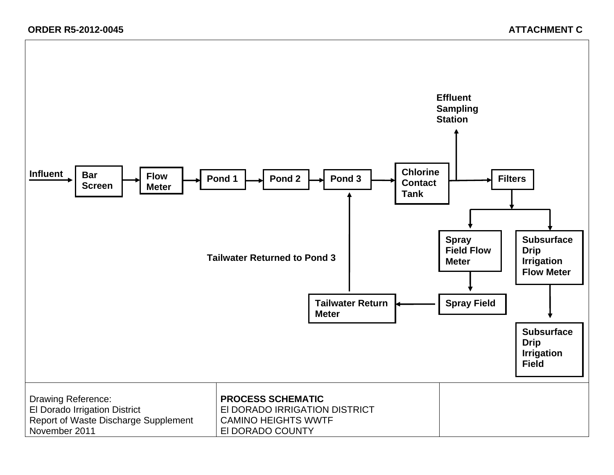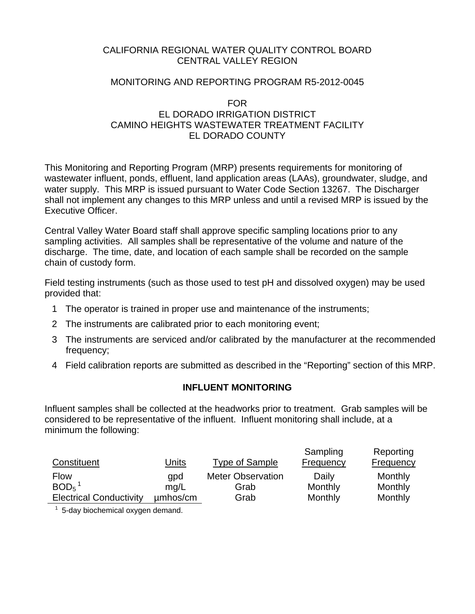#### CALIFORNIA REGIONAL WATER QUALITY CONTROL BOARD CENTRAL VALLEY REGION

#### MONITORING AND REPORTING PROGRAM R5-2012-0045

#### FOR EL DORADO IRRIGATION DISTRICT CAMINO HEIGHTS WASTEWATER TREATMENT FACILITY EL DORADO COUNTY

This Monitoring and Reporting Program (MRP) presents requirements for monitoring of wastewater influent, ponds, effluent, land application areas (LAAs), groundwater, sludge, and water supply. This MRP is issued pursuant to Water Code Section 13267. The Discharger shall not implement any changes to this MRP unless and until a revised MRP is issued by the Executive Officer.

Central Valley Water Board staff shall approve specific sampling locations prior to any sampling activities. All samples shall be representative of the volume and nature of the discharge. The time, date, and location of each sample shall be recorded on the sample chain of custody form.

Field testing instruments (such as those used to test pH and dissolved oxygen) may be used provided that:

- 1 The operator is trained in proper use and maintenance of the instruments;
- 2 The instruments are calibrated prior to each monitoring event;
- 3 The instruments are serviced and/or calibrated by the manufacturer at the recommended frequency;
- 4 Field calibration reports are submitted as described in the "Reporting" section of this MRP.

## **INFLUENT MONITORING**

Influent samples shall be collected at the headworks prior to treatment. Grab samples will be considered to be representative of the influent. Influent monitoring shall include, at a minimum the following:

| Constituent                    | <u>Units</u> | <b>Type of Sample</b>    | Sampling<br>Frequency | Reporting<br><b>Frequency</b> |
|--------------------------------|--------------|--------------------------|-----------------------|-------------------------------|
| <b>Flow</b>                    | qpd          | <b>Meter Observation</b> | Daily                 | Monthly                       |
| $BOD5$ <sup>1</sup>            | mq/L         | Grab                     | Monthly               | Monthly                       |
| <b>Electrical Conductivity</b> | µmbos/cm     | Grab                     | Monthly               | Monthly                       |

 $1$  5-day biochemical oxygen demand.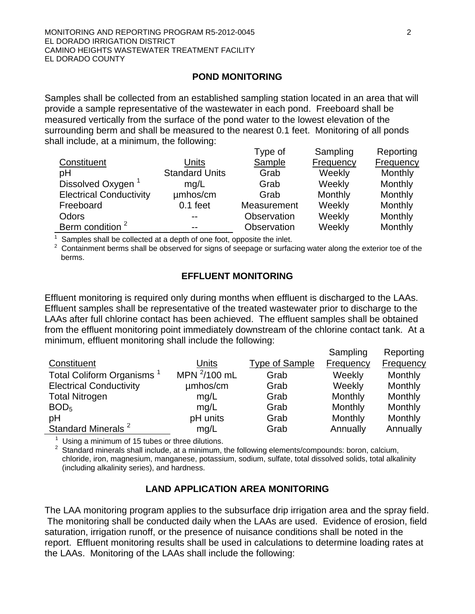#### **POND MONITORING**

Samples shall be collected from an established sampling station located in an area that will provide a sample representative of the wastewater in each pond. Freeboard shall be measured vertically from the surface of the pond water to the lowest elevation of the surrounding berm and shall be measured to the nearest 0.1 feet. Monitoring of all ponds shall include, at a minimum, the following:

|                                |                       | Type of     | Sampling         | Reporting        |
|--------------------------------|-----------------------|-------------|------------------|------------------|
| Constituent                    | Units                 | Sample      | <b>Frequency</b> | <b>Frequency</b> |
| pH                             | <b>Standard Units</b> | Grab        | Weekly           | Monthly          |
| Dissolved Oxygen               | mq/L                  | Grab        | Weekly           | Monthly          |
| <b>Electrical Conductivity</b> | umhos/cm              | Grab        | Monthly          | Monthly          |
| Freeboard                      | $0.1$ feet            | Measurement | Weekly           | Monthly          |
| Odors                          | --                    | Observation | Weekly           | Monthly          |
| Berm condition <sup>2</sup>    | --                    | Observation | Weekly           | Monthly          |

 $1$  Samples shall be collected at a depth of one foot, opposite the inlet.

<sup>2</sup> Containment berms shall be observed for signs of seepage or surfacing water along the exterior toe of the berms.

#### **EFFLUENT MONITORING**

Effluent monitoring is required only during months when effluent is discharged to the LAAs. Effluent samples shall be representative of the treated wastewater prior to discharge to the LAAs after full chlorine contact has been achieved. The effluent samples shall be obtained from the effluent monitoring point immediately downstream of the chlorine contact tank. At a minimum, effluent monitoring shall include the following:

Sampling

Reporting

|                                 |                   |                       | Sampling         | Reporting        |
|---------------------------------|-------------------|-----------------------|------------------|------------------|
| Constituent                     | Units             | <b>Type of Sample</b> | <b>Frequency</b> | <b>Frequency</b> |
| <b>Total Coliform Organisms</b> | MPN $^{2}/100$ mL | Grab                  | Weekly           | Monthly          |
| <b>Electrical Conductivity</b>  | umhos/cm          | Grab                  | Weekly           | Monthly          |
| <b>Total Nitrogen</b>           | mg/L              | Grab                  | Monthly          | Monthly          |
| BOD <sub>5</sub>                | mg/L              | Grab                  | Monthly          | Monthly          |
| pH                              | pH units          | Grab                  | Monthly          | Monthly          |
| Standard Minerals <sup>2</sup>  | mg/L              | Grab                  | Annually         | Annually         |

 $1$  Using a minimum of 15 tubes or three dilutions.

 $2$  Standard minerals shall include, at a minimum, the following elements/compounds: boron, calcium, chloride, iron, magnesium, manganese, potassium, sodium, sulfate, total dissolved solids, total alkalinity (including alkalinity series), and hardness.

## **LAND APPLICATION AREA MONITORING**

The LAA monitoring program applies to the subsurface drip irrigation area and the spray field. The monitoring shall be conducted daily when the LAAs are used. Evidence of erosion, field saturation, irrigation runoff, or the presence of nuisance conditions shall be noted in the report. Effluent monitoring results shall be used in calculations to determine loading rates at the LAAs. Monitoring of the LAAs shall include the following: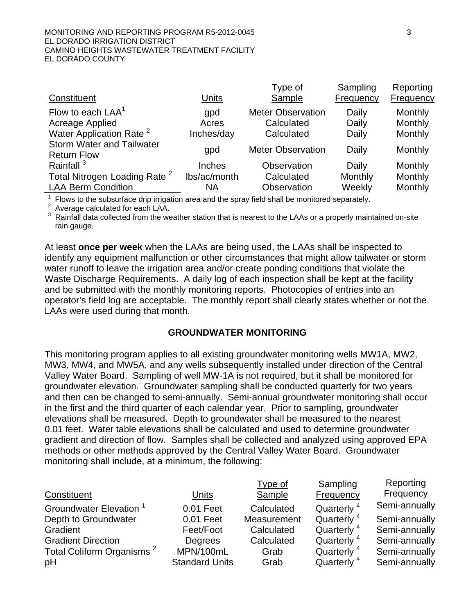#### MONITORING AND REPORTING PROGRAM R5-2012-0045 33 EL DORADO IRRIGATION DISTRICT CAMINO HEIGHTS WASTEWATER TREATMENT FACILITY EL DORADO COUNTY

|                                          |               | Type of                  | Sampling  | Reporting |
|------------------------------------------|---------------|--------------------------|-----------|-----------|
| Constituent                              | <b>Units</b>  | Sample                   | Frequency | Frequency |
| Flow to each $LAA1$                      | qpd           | <b>Meter Observation</b> | Daily     | Monthly   |
| Acreage Applied                          | Acres         | Calculated               | Daily     | Monthly   |
| Water Application Rate <sup>2</sup>      | Inches/day    | Calculated               | Daily     | Monthly   |
| <b>Storm Water and Tailwater</b>         | gpd           | <b>Meter Observation</b> | Daily     | Monthly   |
| <b>Return Flow</b>                       |               |                          |           |           |
| Rainfall <sup>3</sup>                    | <b>Inches</b> | Observation              | Daily     | Monthly   |
| Total Nitrogen Loading Rate <sup>2</sup> | lbs/ac/month  | Calculated               | Monthly   | Monthly   |
| <b>LAA Berm Condition</b>                | <b>NA</b>     | Observation              | Weekly    | Monthly   |

 $<sup>1</sup>$  Flows to the subsurface drip irrigation area and the spray field shall be monitored separately.</sup>

2 Average calculated for each LAA.

 $3$  Rainfall data collected from the weather station that is nearest to the LAAs or a properly maintained on-site rain gauge.

At least **once per week** when the LAAs are being used, the LAAs shall be inspected to identify any equipment malfunction or other circumstances that might allow tailwater or storm water runoff to leave the irrigation area and/or create ponding conditions that violate the Waste Discharge Requirements. A daily log of each inspection shall be kept at the facility and be submitted with the monthly monitoring reports. Photocopies of entries into an operator's field log are acceptable. The monthly report shall clearly states whether or not the LAAs were used during that month.

#### **GROUNDWATER MONITORING**

This monitoring program applies to all existing groundwater monitoring wells MW1A, MW2, MW3, MW4, and MW5A, and any wells subsequently installed under direction of the Central Valley Water Board. Sampling of well MW-1A is not required, but it shall be monitored for groundwater elevation. Groundwater sampling shall be conducted quarterly for two years and then can be changed to semi-annually. Semi-annual groundwater monitoring shall occur in the first and the third quarter of each calendar year. Prior to sampling, groundwater elevations shall be measured. Depth to groundwater shall be measured to the nearest 0.01 feet. Water table elevations shall be calculated and used to determine groundwater gradient and direction of flow. Samples shall be collected and analyzed using approved EPA methods or other methods approved by the Central Valley Water Board. Groundwater monitoring shall include, at a minimum, the following:

|                                       |                       | Type of       | Sampling               | Reporting     |
|---------------------------------------|-----------------------|---------------|------------------------|---------------|
| Constituent                           | <b>Units</b>          | <b>Sample</b> | Frequency              | Frequency     |
| <b>Groundwater Elevation</b>          | 0.01 Feet             | Calculated    | Quarterly <sup>4</sup> | Semi-annually |
| Depth to Groundwater                  | 0.01 Feet             | Measurement   | Quarterly <sup>4</sup> | Semi-annually |
| Gradient                              | Feet/Foot             | Calculated    | Quarterly <sup>4</sup> | Semi-annually |
| <b>Gradient Direction</b>             | Degrees               | Calculated    | Quarterly <sup>4</sup> | Semi-annually |
| Total Coliform Organisms <sup>2</sup> | MPN/100mL             | Grab          | Quarterly <sup>4</sup> | Semi-annually |
| pH                                    | <b>Standard Units</b> | Grab          | Quarterly <sup>4</sup> | Semi-annually |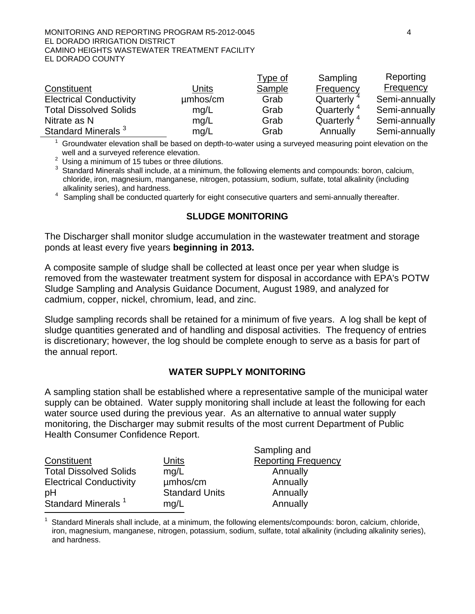#### MONITORING AND REPORTING PROGRAM R5-2012-0045 4 EL DORADO IRRIGATION DISTRICT CAMINO HEIGHTS WASTEWATER TREATMENT FACILITY EL DORADO COUNTY

|                                |          | <u>Type of</u> | Sampling               | Reporting        |
|--------------------------------|----------|----------------|------------------------|------------------|
| Constituent                    | Units    | Sample         | Frequency              | <b>Frequency</b> |
| <b>Electrical Conductivity</b> | umhos/cm | Grab           | Quarterly <sup>4</sup> | Semi-annually    |
| <b>Total Dissolved Solids</b>  | mg/L     | Grab           | Quarterly <sup>4</sup> | Semi-annually    |
| Nitrate as N                   | mg/L     | Grab           | Quarterly <sup>4</sup> | Semi-annually    |
| Standard Minerals <sup>3</sup> | mg/L     | Grab           | Annually               | Semi-annually    |

 $1$  Groundwater elevation shall be based on depth-to-water using a surveyed measuring point elevation on the well and a surveyed reference elevation.

 $2$  Using a minimum of 15 tubes or three dilutions.

<sup>3</sup> Standard Minerals shall include, at a minimum, the following elements and compounds: boron, calcium, chloride, iron, magnesium, manganese, nitrogen, potassium, sodium, sulfate, total alkalinity (including alkalinity series), and hardness.

<sup>4</sup> Sampling shall be conducted quarterly for eight consecutive quarters and semi-annually thereafter.

#### **SLUDGE MONITORING**

The Discharger shall monitor sludge accumulation in the wastewater treatment and storage ponds at least every five years **beginning in 2013.** 

A composite sample of sludge shall be collected at least once per year when sludge is removed from the wastewater treatment system for disposal in accordance with EPA's POTW Sludge Sampling and Analysis Guidance Document, August 1989, and analyzed for cadmium, copper, nickel, chromium, lead, and zinc.

Sludge sampling records shall be retained for a minimum of five years. A log shall be kept of sludge quantities generated and of handling and disposal activities. The frequency of entries is discretionary; however, the log should be complete enough to serve as a basis for part of the annual report.

#### **WATER SUPPLY MONITORING**

A sampling station shall be established where a representative sample of the municipal water supply can be obtained. Water supply monitoring shall include at least the following for each water source used during the previous year. As an alternative to annual water supply monitoring, the Discharger may submit results of the most current Department of Public Health Consumer Confidence Report.

|                                |                       | Sampling and               |
|--------------------------------|-----------------------|----------------------------|
| Constituent                    | Units                 | <b>Reporting Frequency</b> |
| <b>Total Dissolved Solids</b>  | mq/L                  | Annually                   |
| <b>Electrical Conductivity</b> | umhos/cm              | Annually                   |
| pH                             | <b>Standard Units</b> | Annually                   |
| Standard Minerals <sup>1</sup> | mq/L                  | Annually                   |

<sup>1</sup> Standard Minerals shall include, at a minimum, the following elements/compounds: boron, calcium, chloride, iron, magnesium, manganese, nitrogen, potassium, sodium, sulfate, total alkalinity (including alkalinity series), and hardness.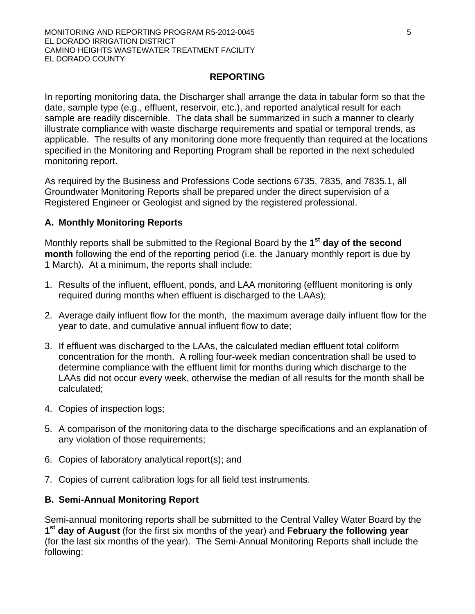#### MONITORING AND REPORTING PROGRAM R5-2012-0045 55 EL DORADO IRRIGATION DISTRICT CAMINO HEIGHTS WASTEWATER TREATMENT FACILITY EL DORADO COUNTY

#### **REPORTING**

In reporting monitoring data, the Discharger shall arrange the data in tabular form so that the date, sample type (e.g., effluent, reservoir, etc.), and reported analytical result for each sample are readily discernible. The data shall be summarized in such a manner to clearly illustrate compliance with waste discharge requirements and spatial or temporal trends, as applicable. The results of any monitoring done more frequently than required at the locations specified in the Monitoring and Reporting Program shall be reported in the next scheduled monitoring report.

As required by the Business and Professions Code sections 6735, 7835, and 7835.1, all Groundwater Monitoring Reports shall be prepared under the direct supervision of a Registered Engineer or Geologist and signed by the registered professional.

#### **A. Monthly Monitoring Reports**

Monthly reports shall be submitted to the Regional Board by the **1st day of the second month** following the end of the reporting period (i.e. the January monthly report is due by 1 March). At a minimum, the reports shall include:

- 1. Results of the influent, effluent, ponds, and LAA monitoring (effluent monitoring is only required during months when effluent is discharged to the LAAs);
- 2. Average daily influent flow for the month, the maximum average daily influent flow for the year to date, and cumulative annual influent flow to date;
- 3. If effluent was discharged to the LAAs, the calculated median effluent total coliform concentration for the month. A rolling four-week median concentration shall be used to determine compliance with the effluent limit for months during which discharge to the LAAs did not occur every week, otherwise the median of all results for the month shall be calculated;
- 4. Copies of inspection logs;
- 5. A comparison of the monitoring data to the discharge specifications and an explanation of any violation of those requirements;
- 6. Copies of laboratory analytical report(s); and
- 7. Copies of current calibration logs for all field test instruments.

#### **B. Semi-Annual Monitoring Report**

Semi-annual monitoring reports shall be submitted to the Central Valley Water Board by the **1st day of August** (for the first six months of the year) and **February the following year** (for the last six months of the year). The Semi-Annual Monitoring Reports shall include the following: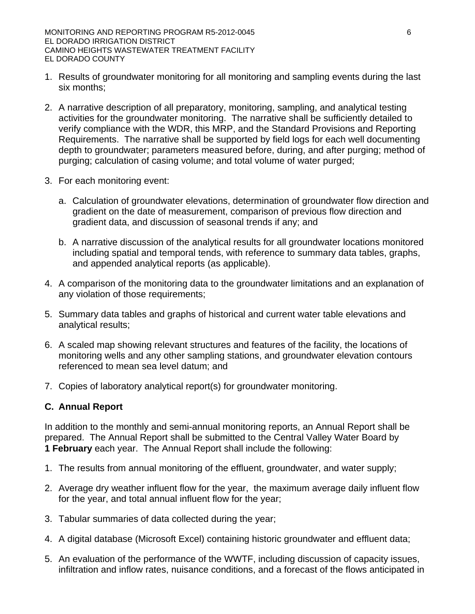- 1. Results of groundwater monitoring for all monitoring and sampling events during the last six months;
- 2. A narrative description of all preparatory, monitoring, sampling, and analytical testing activities for the groundwater monitoring. The narrative shall be sufficiently detailed to verify compliance with the WDR, this MRP, and the Standard Provisions and Reporting Requirements. The narrative shall be supported by field logs for each well documenting depth to groundwater; parameters measured before, during, and after purging; method of purging; calculation of casing volume; and total volume of water purged;
- 3. For each monitoring event:
	- a. Calculation of groundwater elevations, determination of groundwater flow direction and gradient on the date of measurement, comparison of previous flow direction and gradient data, and discussion of seasonal trends if any; and
	- b. A narrative discussion of the analytical results for all groundwater locations monitored including spatial and temporal tends, with reference to summary data tables, graphs, and appended analytical reports (as applicable).
- 4. A comparison of the monitoring data to the groundwater limitations and an explanation of any violation of those requirements;
- 5. Summary data tables and graphs of historical and current water table elevations and analytical results;
- 6. A scaled map showing relevant structures and features of the facility, the locations of monitoring wells and any other sampling stations, and groundwater elevation contours referenced to mean sea level datum; and
- 7. Copies of laboratory analytical report(s) for groundwater monitoring.

#### **C. Annual Report**

In addition to the monthly and semi-annual monitoring reports, an Annual Report shall be prepared. The Annual Report shall be submitted to the Central Valley Water Board by **1 February** each year. The Annual Report shall include the following:

- 1. The results from annual monitoring of the effluent, groundwater, and water supply;
- 2. Average dry weather influent flow for the year, the maximum average daily influent flow for the year, and total annual influent flow for the year;
- 3. Tabular summaries of data collected during the year;
- 4. A digital database (Microsoft Excel) containing historic groundwater and effluent data;
- 5. An evaluation of the performance of the WWTF, including discussion of capacity issues, infiltration and inflow rates, nuisance conditions, and a forecast of the flows anticipated in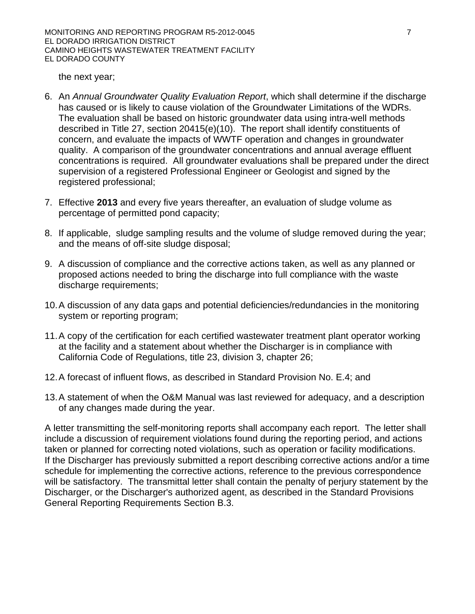MONITORING AND REPORTING PROGRAM R5-2012-0045 7 EL DORADO IRRIGATION DISTRICT CAMINO HEIGHTS WASTEWATER TREATMENT FACILITY EL DORADO COUNTY

the next year;

- 6. An *Annual Groundwater Quality Evaluation Report*, which shall determine if the discharge has caused or is likely to cause violation of the Groundwater Limitations of the WDRs. The evaluation shall be based on historic groundwater data using intra-well methods described in Title 27, section 20415(e)(10). The report shall identify constituents of concern, and evaluate the impacts of WWTF operation and changes in groundwater quality. A comparison of the groundwater concentrations and annual average effluent concentrations is required. All groundwater evaluations shall be prepared under the direct supervision of a registered Professional Engineer or Geologist and signed by the registered professional;
- 7. Effective **2013** and every five years thereafter, an evaluation of sludge volume as percentage of permitted pond capacity;
- 8. If applicable, sludge sampling results and the volume of sludge removed during the year; and the means of off-site sludge disposal;
- 9. A discussion of compliance and the corrective actions taken, as well as any planned or proposed actions needed to bring the discharge into full compliance with the waste discharge requirements;
- 10. A discussion of any data gaps and potential deficiencies/redundancies in the monitoring system or reporting program;
- 11. A copy of the certification for each certified wastewater treatment plant operator working at the facility and a statement about whether the Discharger is in compliance with California Code of Regulations, title 23, division 3, chapter 26;
- 12. A forecast of influent flows, as described in Standard Provision No. E.4; and
- 13. A statement of when the O&M Manual was last reviewed for adequacy, and a description of any changes made during the year.

A letter transmitting the self-monitoring reports shall accompany each report. The letter shall include a discussion of requirement violations found during the reporting period, and actions taken or planned for correcting noted violations, such as operation or facility modifications. If the Discharger has previously submitted a report describing corrective actions and/or a time schedule for implementing the corrective actions, reference to the previous correspondence will be satisfactory. The transmittal letter shall contain the penalty of perjury statement by the Discharger, or the Discharger's authorized agent, as described in the Standard Provisions General Reporting Requirements Section B.3.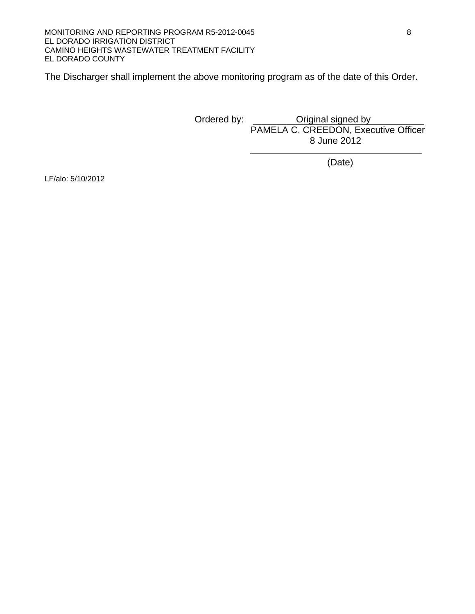The Discharger shall implement the above monitoring program as of the date of this Order.

 Ordered by: Original signed by PAMELA C. CREEDON, Executive Officer 8 June 2012

(Date)

LF/alo: 5/10/2012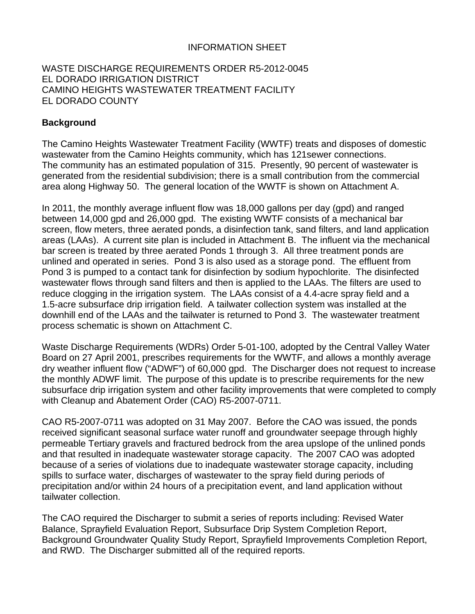#### INFORMATION SHEET

#### WASTE DISCHARGE REQUIREMENTS ORDER R5-2012-0045 EL DORADO IRRIGATION DISTRICT CAMINO HEIGHTS WASTEWATER TREATMENT FACILITY EL DORADO COUNTY

#### **Background**

The Camino Heights Wastewater Treatment Facility (WWTF) treats and disposes of domestic wastewater from the Camino Heights community, which has 121sewer connections. The community has an estimated population of 315. Presently, 90 percent of wastewater is generated from the residential subdivision; there is a small contribution from the commercial area along Highway 50. The general location of the WWTF is shown on Attachment A.

In 2011, the monthly average influent flow was 18,000 gallons per day (gpd) and ranged between 14,000 gpd and 26,000 gpd. The existing WWTF consists of a mechanical bar screen, flow meters, three aerated ponds, a disinfection tank, sand filters, and land application areas (LAAs). A current site plan is included in Attachment B. The influent via the mechanical bar screen is treated by three aerated Ponds 1 through 3. All three treatment ponds are unlined and operated in series. Pond 3 is also used as a storage pond. The effluent from Pond 3 is pumped to a contact tank for disinfection by sodium hypochlorite. The disinfected wastewater flows through sand filters and then is applied to the LAAs. The filters are used to reduce clogging in the irrigation system. The LAAs consist of a 4.4-acre spray field and a 1.5-acre subsurface drip irrigation field. A tailwater collection system was installed at the downhill end of the LAAs and the tailwater is returned to Pond 3. The wastewater treatment process schematic is shown on Attachment C.

Waste Discharge Requirements (WDRs) Order 5-01-100, adopted by the Central Valley Water Board on 27 April 2001, prescribes requirements for the WWTF, and allows a monthly average dry weather influent flow ("ADWF") of 60,000 gpd. The Discharger does not request to increase the monthly ADWF limit. The purpose of this update is to prescribe requirements for the new subsurface drip irrigation system and other facility improvements that were completed to comply with Cleanup and Abatement Order (CAO) R5-2007-0711.

CAO R5-2007-0711 was adopted on 31 May 2007. Before the CAO was issued, the ponds received significant seasonal surface water runoff and groundwater seepage through highly permeable Tertiary gravels and fractured bedrock from the area upslope of the unlined ponds and that resulted in inadequate wastewater storage capacity. The 2007 CAO was adopted because of a series of violations due to inadequate wastewater storage capacity, including spills to surface water, discharges of wastewater to the spray field during periods of precipitation and/or within 24 hours of a precipitation event, and land application without tailwater collection.

The CAO required the Discharger to submit a series of reports including: Revised Water Balance, Sprayfield Evaluation Report, Subsurface Drip System Completion Report, Background Groundwater Quality Study Report, Sprayfield Improvements Completion Report, and RWD. The Discharger submitted all of the required reports.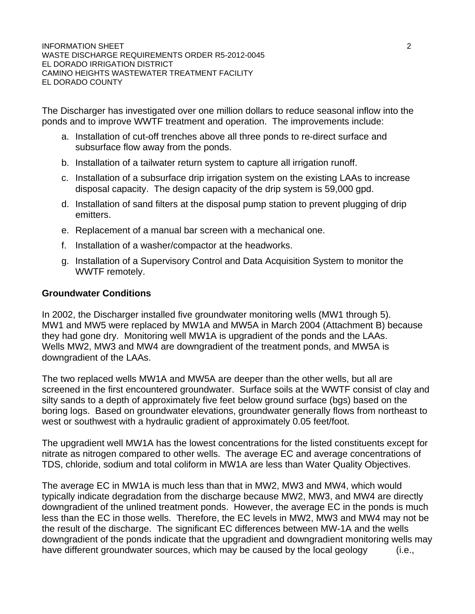The Discharger has investigated over one million dollars to reduce seasonal inflow into the ponds and to improve WWTF treatment and operation. The improvements include:

- a. Installation of cut-off trenches above all three ponds to re-direct surface and subsurface flow away from the ponds.
- b. Installation of a tailwater return system to capture all irrigation runoff.
- c. Installation of a subsurface drip irrigation system on the existing LAAs to increase disposal capacity. The design capacity of the drip system is 59,000 gpd.
- d. Installation of sand filters at the disposal pump station to prevent plugging of drip emitters.
- e. Replacement of a manual bar screen with a mechanical one.
- f. Installation of a washer/compactor at the headworks.
- g. Installation of a Supervisory Control and Data Acquisition System to monitor the WWTF remotely.

#### **Groundwater Conditions**

In 2002, the Discharger installed five groundwater monitoring wells (MW1 through 5). MW1 and MW5 were replaced by MW1A and MW5A in March 2004 (Attachment B) because they had gone dry. Monitoring well MW1A is upgradient of the ponds and the LAAs. Wells MW2, MW3 and MW4 are downgradient of the treatment ponds, and MW5A is downgradient of the LAAs.

The two replaced wells MW1A and MW5A are deeper than the other wells, but all are screened in the first encountered groundwater. Surface soils at the WWTF consist of clay and silty sands to a depth of approximately five feet below ground surface (bgs) based on the boring logs. Based on groundwater elevations, groundwater generally flows from northeast to west or southwest with a hydraulic gradient of approximately 0.05 feet/foot.

The upgradient well MW1A has the lowest concentrations for the listed constituents except for nitrate as nitrogen compared to other wells. The average EC and average concentrations of TDS, chloride, sodium and total coliform in MW1A are less than Water Quality Objectives.

The average EC in MW1A is much less than that in MW2, MW3 and MW4, which would typically indicate degradation from the discharge because MW2, MW3, and MW4 are directly downgradient of the unlined treatment ponds. However, the average EC in the ponds is much less than the EC in those wells. Therefore, the EC levels in MW2, MW3 and MW4 may not be the result of the discharge. The significant EC differences between MW-1A and the wells downgradient of the ponds indicate that the upgradient and downgradient monitoring wells may have different groundwater sources, which may be caused by the local geology (i.e.,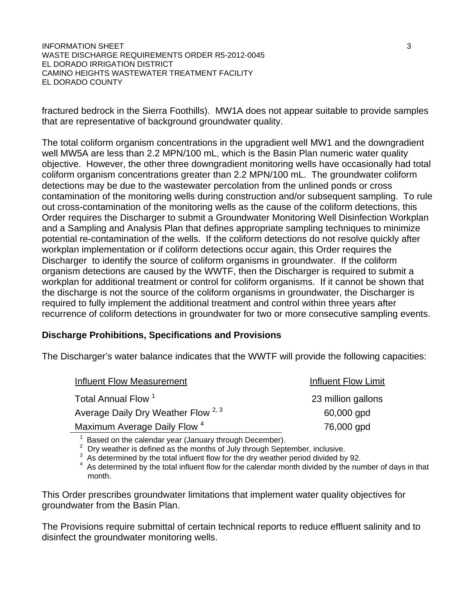**INFORMATION SHEET** 3 WASTE DISCHARGE REQUIREMENTS ORDER R5-2012-0045 EL DORADO IRRIGATION DISTRICT CAMINO HEIGHTS WASTEWATER TREATMENT FACILITY EL DORADO COUNTY

fractured bedrock in the Sierra Foothills). MW1A does not appear suitable to provide samples that are representative of background groundwater quality.

The total coliform organism concentrations in the upgradient well MW1 and the downgradient well MW5A are less than 2.2 MPN/100 mL, which is the Basin Plan numeric water quality objective. However, the other three downgradient monitoring wells have occasionally had total coliform organism concentrations greater than 2.2 MPN/100 mL. The groundwater coliform detections may be due to the wastewater percolation from the unlined ponds or cross contamination of the monitoring wells during construction and/or subsequent sampling. To rule out cross-contamination of the monitoring wells as the cause of the coliform detections, this Order requires the Discharger to submit a Groundwater Monitoring Well Disinfection Workplan and a Sampling and Analysis Plan that defines appropriate sampling techniques to minimize potential re-contamination of the wells. If the coliform detections do not resolve quickly after workplan implementation or if coliform detections occur again, this Order requires the Discharger to identify the source of coliform organisms in groundwater. If the coliform organism detections are caused by the WWTF, then the Discharger is required to submit a workplan for additional treatment or control for coliform organisms. If it cannot be shown that the discharge is not the source of the coliform organisms in groundwater, the Discharger is required to fully implement the additional treatment and control within three years after recurrence of coliform detections in groundwater for two or more consecutive sampling events.

#### **Discharge Prohibitions, Specifications and Provisions**

The Discharger's water balance indicates that the WWTF will provide the following capacities:

| Influent Flow Measurement                      | <b>Influent Flow Limit</b> |
|------------------------------------------------|----------------------------|
| Total Annual Flow <sup>1</sup>                 | 23 million gallons         |
| Average Daily Dry Weather Flow <sup>2, 3</sup> | 60,000 gpd                 |
| Maximum Average Daily Flow <sup>4</sup>        | 76,000 gpd                 |
|                                                |                            |

<sup>1</sup> Based on the calendar year (January through December).<br>
<sup>2</sup> Dry weather is defined as the months of July through September, inclusive.<br>
<sup>3</sup> As determined by the total influent flow for the dry weather period divided b month.

This Order prescribes groundwater limitations that implement water quality objectives for groundwater from the Basin Plan.

The Provisions require submittal of certain technical reports to reduce effluent salinity and to disinfect the groundwater monitoring wells.